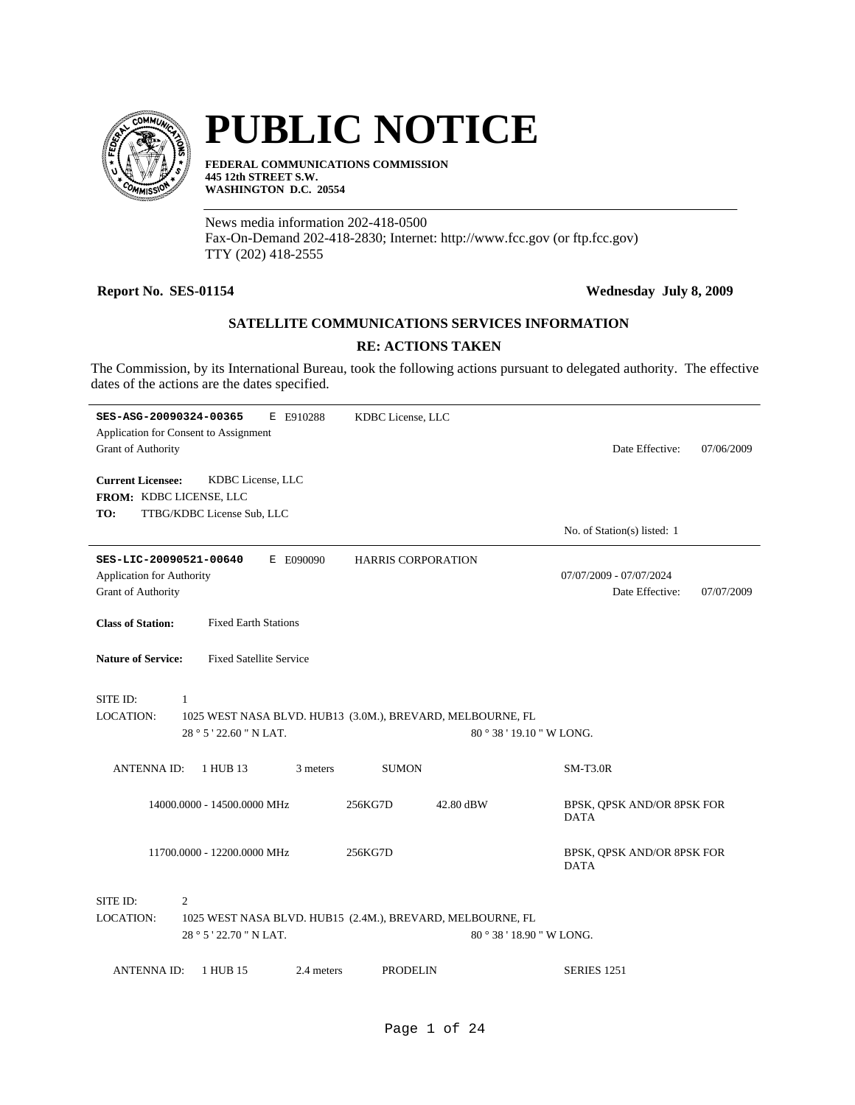

# **PUBLIC NOTICE**

**FEDERAL COMMUNICATIONS COMMISSION 445 12th STREET S.W. WASHINGTON D.C. 20554**

News media information 202-418-0500 Fax-On-Demand 202-418-2830; Internet: http://www.fcc.gov (or ftp.fcc.gov) TTY (202) 418-2555

# **Report No. SES-01154 Wednesday July 8, 2009**

# **SATELLITE COMMUNICATIONS SERVICES INFORMATION**

# **RE: ACTIONS TAKEN**

The Commission, by its International Bureau, took the following actions pursuant to delegated authority. The effective dates of the actions are the dates specified.

| SES-ASG-20090324-00365                |                                | E E910288  | KDBC License, LLC                                          |                             |            |
|---------------------------------------|--------------------------------|------------|------------------------------------------------------------|-----------------------------|------------|
| Application for Consent to Assignment |                                |            |                                                            |                             |            |
| <b>Grant of Authority</b>             |                                |            |                                                            | Date Effective:             | 07/06/2009 |
|                                       |                                |            |                                                            |                             |            |
| <b>Current Licensee:</b>              | KDBC License, LLC              |            |                                                            |                             |            |
| FROM: KDBC LICENSE, LLC               |                                |            |                                                            |                             |            |
| TO:                                   | TTBG/KDBC License Sub, LLC     |            |                                                            |                             |            |
|                                       |                                |            |                                                            | No. of Station(s) listed: 1 |            |
| SES-LIC-20090521-00640                |                                | E E090090  | <b>HARRIS CORPORATION</b>                                  |                             |            |
| <b>Application for Authority</b>      |                                |            |                                                            | 07/07/2009 - 07/07/2024     |            |
| <b>Grant of Authority</b>             |                                |            |                                                            | Date Effective:             | 07/07/2009 |
|                                       |                                |            |                                                            |                             |            |
| <b>Class of Station:</b>              | <b>Fixed Earth Stations</b>    |            |                                                            |                             |            |
|                                       |                                |            |                                                            |                             |            |
| <b>Nature of Service:</b>             | <b>Fixed Satellite Service</b> |            |                                                            |                             |            |
|                                       |                                |            |                                                            |                             |            |
| SITE ID:<br>1                         |                                |            |                                                            |                             |            |
| <b>LOCATION:</b>                      |                                |            | 1025 WEST NASA BLVD. HUB13 (3.0M.), BREVARD, MELBOURNE, FL |                             |            |
|                                       | 28 ° 5 ' 22.60 " N LAT.        |            |                                                            | 80 ° 38 ' 19.10 " W LONG.   |            |
|                                       |                                |            |                                                            |                             |            |
| <b>ANTENNA ID:</b>                    | 1 HUB 13                       | 3 meters   | <b>SUMON</b>                                               | $SM-T3.0R$                  |            |
|                                       |                                |            |                                                            |                             |            |
|                                       | 14000.0000 - 14500.0000 MHz    | 256KG7D    | 42.80 dBW                                                  | BPSK, QPSK AND/OR 8PSK FOR  |            |
|                                       |                                |            |                                                            | <b>DATA</b>                 |            |
|                                       |                                |            |                                                            |                             |            |
|                                       | 11700.0000 - 12200.0000 MHz    | 256KG7D    |                                                            | BPSK, QPSK AND/OR 8PSK FOR  |            |
|                                       |                                |            |                                                            | <b>DATA</b>                 |            |
|                                       |                                |            |                                                            |                             |            |
| SITE ID:<br>2                         |                                |            |                                                            |                             |            |
| <b>LOCATION:</b>                      |                                |            | 1025 WEST NASA BLVD. HUB15 (2.4M.), BREVARD, MELBOURNE, FL |                             |            |
|                                       | 28 ° 5 ' 22.70 " N LAT.        |            |                                                            | 80 ° 38 ' 18.90 " W LONG.   |            |
|                                       |                                |            |                                                            |                             |            |
| <b>ANTENNAID:</b>                     | 1 HUB 15                       | 2.4 meters | <b>PRODELIN</b>                                            | <b>SERIES 1251</b>          |            |
|                                       |                                |            |                                                            |                             |            |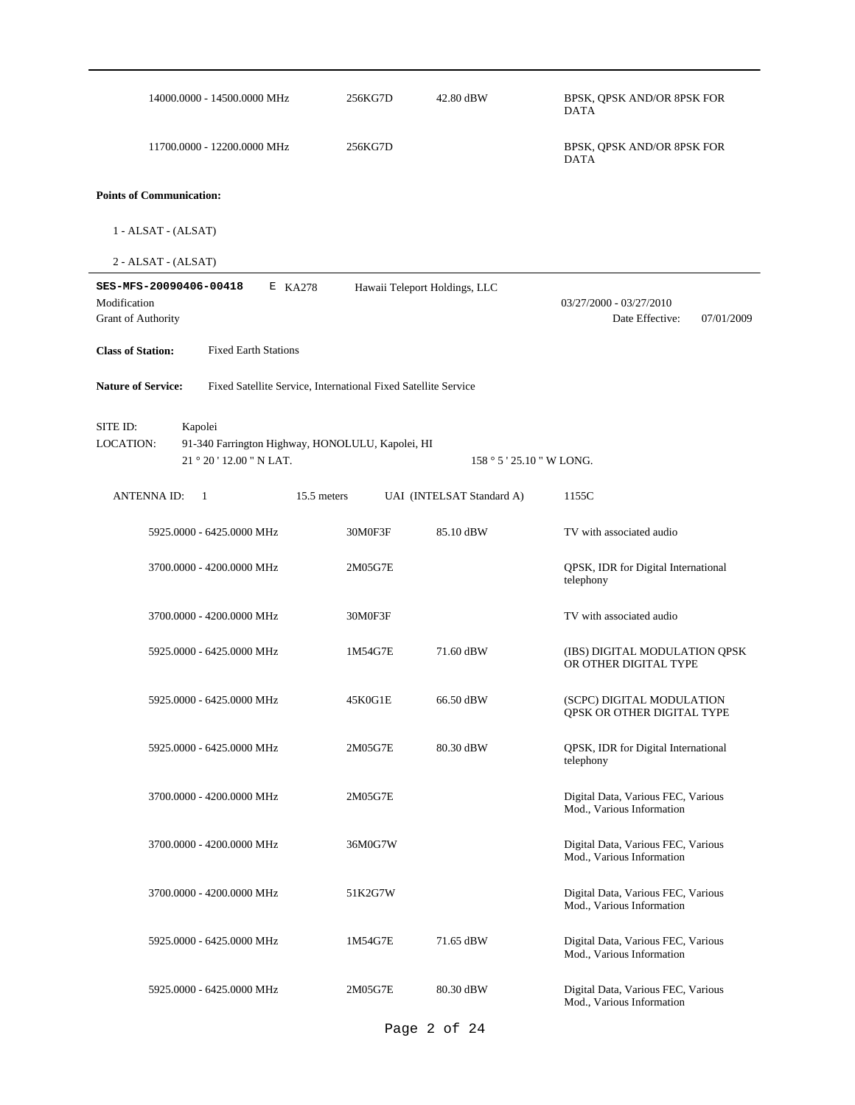| 14000.0000 - 14500.0000 MHz                                                                 | 256KG7D | 42.80 dBW                     | BPSK, QPSK AND/OR 8PSK FOR<br>DATA                              |
|---------------------------------------------------------------------------------------------|---------|-------------------------------|-----------------------------------------------------------------|
| 11700.0000 - 12200.0000 MHz                                                                 | 256KG7D |                               | BPSK, QPSK AND/OR 8PSK FOR<br>DATA                              |
| <b>Points of Communication:</b>                                                             |         |                               |                                                                 |
| $1 - ALSAT - (ALSAT)$                                                                       |         |                               |                                                                 |
| 2 - ALSAT - (ALSAT)                                                                         |         |                               |                                                                 |
| SES-MFS-20090406-00418<br>E KA278<br>Modification<br>Grant of Authority                     |         | Hawaii Teleport Holdings, LLC | 03/27/2000 - 03/27/2010<br>Date Effective:<br>07/01/2009        |
| <b>Class of Station:</b><br><b>Fixed Earth Stations</b>                                     |         |                               |                                                                 |
| <b>Nature of Service:</b><br>Fixed Satellite Service, International Fixed Satellite Service |         |                               |                                                                 |
| SITE ID:<br>Kapolei                                                                         |         |                               |                                                                 |
| LOCATION:<br>91-340 Farrington Highway, HONOLULU, Kapolei, HI<br>21 ° 20 ' 12.00 " N LAT.   |         |                               |                                                                 |
|                                                                                             |         | $158°5'25.10"$ W LONG.        |                                                                 |
| <b>ANTENNA ID:</b><br>15.5 meters<br>-1                                                     |         | UAI (INTELSAT Standard A)     | 1155C                                                           |
| 5925.0000 - 6425.0000 MHz                                                                   | 30M0F3F | 85.10 dBW                     | TV with associated audio                                        |
| 3700.0000 - 4200.0000 MHz                                                                   | 2M05G7E |                               | QPSK, IDR for Digital International<br>telephony                |
| 3700.0000 - 4200.0000 MHz                                                                   | 30M0F3F |                               | TV with associated audio                                        |
| 5925.0000 - 6425.0000 MHz                                                                   | 1M54G7E | 71.60 dBW                     | (IBS) DIGITAL MODULATION QPSK<br>OR OTHER DIGITAL TYPE          |
| 5925.0000 - 6425.0000 MHz                                                                   | 45K0G1E | 66.50 dBW                     | (SCPC) DIGITAL MODULATION<br>QPSK OR OTHER DIGITAL TYPE         |
| 5925.0000 - 6425.0000 MHz                                                                   | 2M05G7E | 80.30 dBW                     | QPSK, IDR for Digital International<br>telephony                |
| 3700.0000 - 4200.0000 MHz                                                                   | 2M05G7E |                               | Digital Data, Various FEC, Various<br>Mod., Various Information |
| 3700.0000 - 4200.0000 MHz                                                                   | 36M0G7W |                               | Digital Data, Various FEC, Various<br>Mod., Various Information |
| 3700.0000 - 4200.0000 MHz                                                                   | 51K2G7W |                               | Digital Data, Various FEC, Various<br>Mod., Various Information |
| 5925.0000 - 6425.0000 MHz                                                                   | 1M54G7E | 71.65 dBW                     | Digital Data, Various FEC, Various<br>Mod., Various Information |
| 5925.0000 - 6425.0000 MHz                                                                   | 2M05G7E | 80.30 dBW                     | Digital Data, Various FEC, Various<br>Mod., Various Information |

Page 2 of 24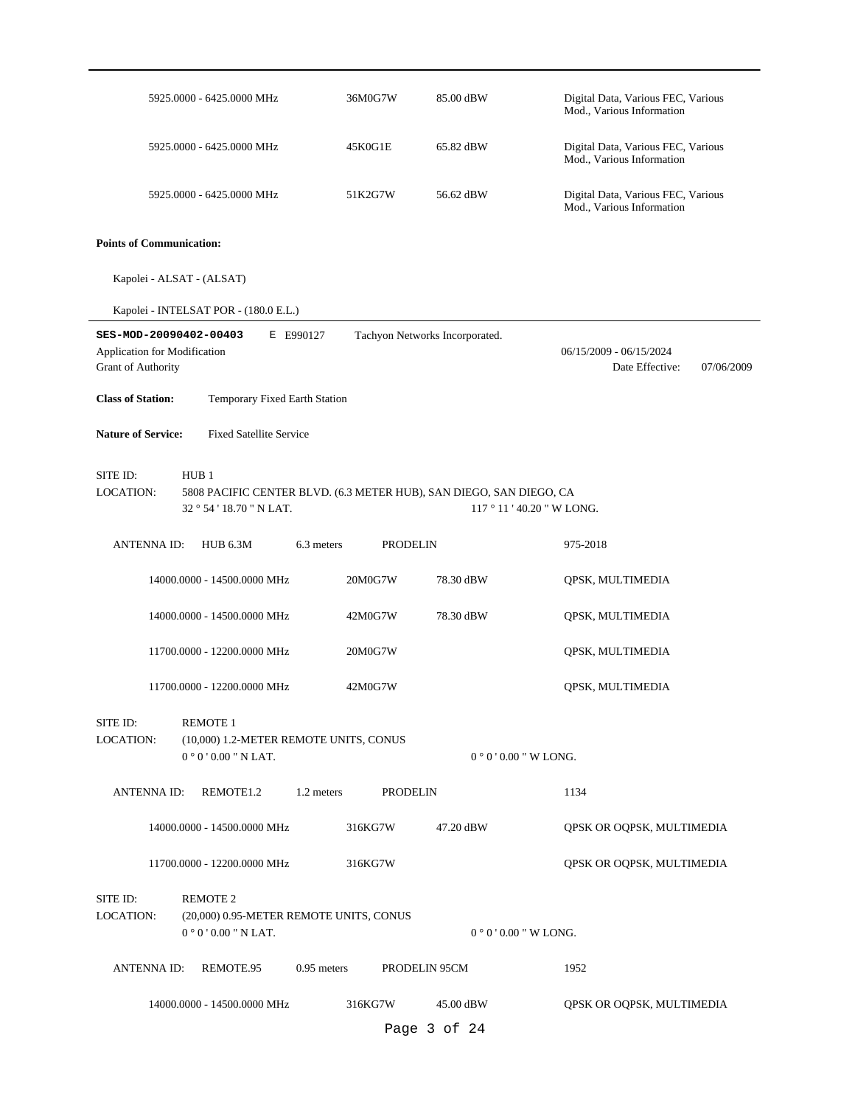|                                                                              | 5925.0000 - 6425.0000 MHz                                                                               | 36M0G7W         | 85.00 dBW                      | Digital Data, Various FEC, Various<br>Mod., Various Information |
|------------------------------------------------------------------------------|---------------------------------------------------------------------------------------------------------|-----------------|--------------------------------|-----------------------------------------------------------------|
|                                                                              | 5925.0000 - 6425.0000 MHz                                                                               | 45K0G1E         | 65.82 dBW                      | Digital Data, Various FEC, Various<br>Mod., Various Information |
|                                                                              | 5925.0000 - 6425.0000 MHz                                                                               | 51K2G7W         | 56.62 dBW                      | Digital Data, Various FEC, Various<br>Mod., Various Information |
| <b>Points of Communication:</b>                                              |                                                                                                         |                 |                                |                                                                 |
|                                                                              | Kapolei - ALSAT - (ALSAT)                                                                               |                 |                                |                                                                 |
|                                                                              | Kapolei - INTELSAT POR - (180.0 E.L.)                                                                   |                 |                                |                                                                 |
| SES-MOD-20090402-00403<br>Application for Modification<br>Grant of Authority | E E990127                                                                                               |                 | Tachyon Networks Incorporated. | 06/15/2009 - 06/15/2024<br>Date Effective:<br>07/06/2009        |
| <b>Class of Station:</b>                                                     | Temporary Fixed Earth Station                                                                           |                 |                                |                                                                 |
| <b>Nature of Service:</b>                                                    | <b>Fixed Satellite Service</b>                                                                          |                 |                                |                                                                 |
| SITE ID:<br>LOCATION:                                                        | HUB1<br>5808 PACIFIC CENTER BLVD. (6.3 METER HUB), SAN DIEGO, SAN DIEGO, CA<br>32 ° 54 ' 18.70 " N LAT. |                 |                                | $117°11'40.20''$ W LONG.                                        |
| <b>ANTENNA ID:</b>                                                           | <b>HUB 6.3M</b><br>6.3 meters                                                                           | <b>PRODELIN</b> |                                | 975-2018                                                        |
|                                                                              | 14000.0000 - 14500.0000 MHz                                                                             | 20M0G7W         | 78.30 dBW                      | QPSK, MULTIMEDIA                                                |
|                                                                              | 14000.0000 - 14500.0000 MHz                                                                             | 42M0G7W         | 78.30 dBW                      | QPSK, MULTIMEDIA                                                |
|                                                                              | 11700.0000 - 12200.0000 MHz                                                                             | 20M0G7W         |                                | QPSK, MULTIMEDIA                                                |
|                                                                              | 11700.0000 - 12200.0000 MHz                                                                             | 42M0G7W         |                                | QPSK, MULTIMEDIA                                                |
| SITE ID:<br><b>LOCATION:</b>                                                 | <b>REMOTE 1</b><br>(10,000) 1.2-METER REMOTE UNITS, CONUS<br>$0°0'0.00"$ N LAT.                         |                 |                                | $0°0'0.00''$ W LONG.                                            |
| <b>ANTENNA ID:</b>                                                           | REMOTE1.2<br>1.2 meters                                                                                 | <b>PRODELIN</b> |                                | 1134                                                            |
|                                                                              | 14000.0000 - 14500.0000 MHz                                                                             | 316KG7W         | 47.20 dBW                      | QPSK OR OQPSK, MULTIMEDIA                                       |
|                                                                              | 11700.0000 - 12200.0000 MHz                                                                             | 316KG7W         |                                | QPSK OR OQPSK, MULTIMEDIA                                       |
| SITE ID:<br><b>LOCATION:</b>                                                 | <b>REMOTE 2</b><br>(20,000) 0.95-METER REMOTE UNITS, CONUS<br>$0°0'0.00"$ N LAT.                        |                 |                                | $0°0'0.00''$ W LONG.                                            |
| <b>ANTENNAID:</b>                                                            | $0.95$ meters<br>REMOTE.95                                                                              |                 | PRODELIN 95CM                  | 1952                                                            |
|                                                                              | 14000.0000 - 14500.0000 MHz                                                                             | 316KG7W         | 45.00 dBW                      | QPSK OR OQPSK, MULTIMEDIA                                       |
|                                                                              |                                                                                                         |                 | Page 3 of 24                   |                                                                 |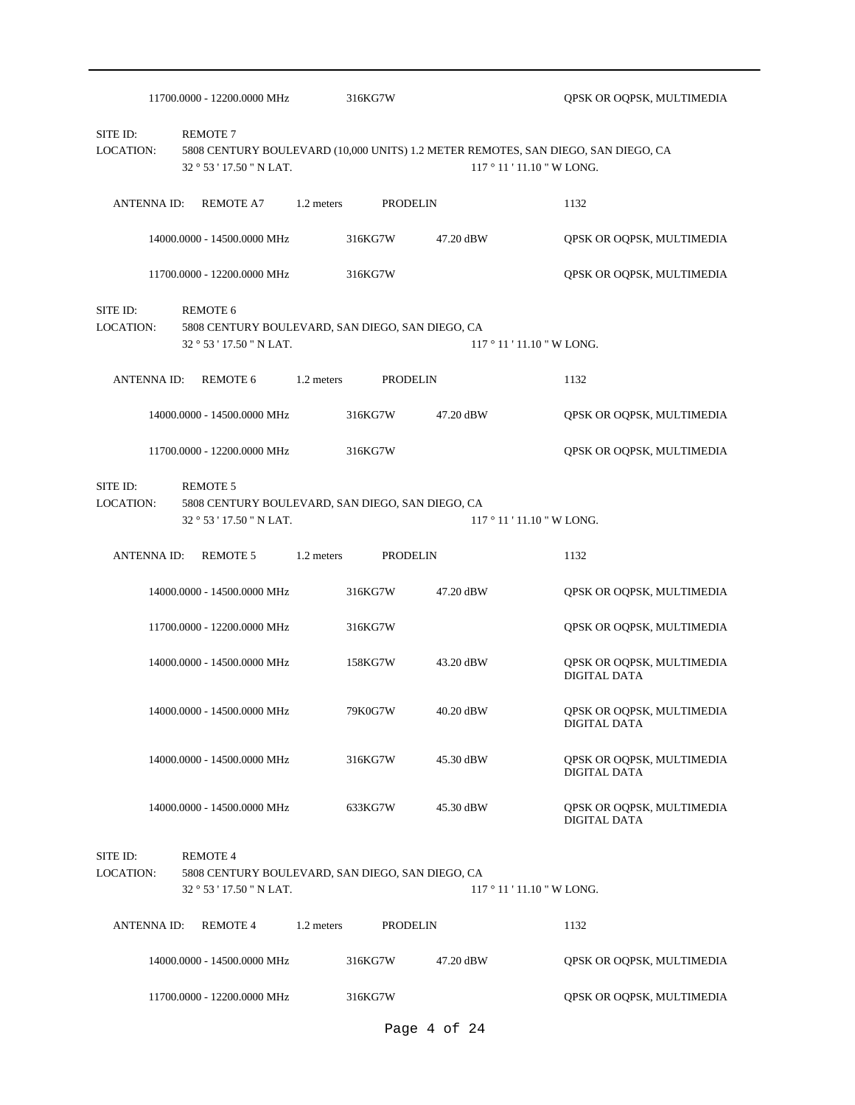|                       | 11700.0000 - 12200.0000 MHz                                                                     | 316KG7W    |                 | QPSK OR OQPSK, MULTIMEDIA                                                                                       |
|-----------------------|-------------------------------------------------------------------------------------------------|------------|-----------------|-----------------------------------------------------------------------------------------------------------------|
| SITE ID:<br>LOCATION: | <b>REMOTE 7</b><br>32 ° 53 ' 17.50 " N LAT.                                                     |            |                 | 5808 CENTURY BOULEVARD (10,000 UNITS) 1.2 METER REMOTES, SAN DIEGO, SAN DIEGO, CA<br>117 ° 11 ' 11.10 " W LONG. |
| <b>ANTENNA ID:</b>    | <b>REMOTE A7</b>                                                                                | 1.2 meters | <b>PRODELIN</b> | 1132                                                                                                            |
|                       | 14000.0000 - 14500.0000 MHz                                                                     | 316KG7W    | 47.20 dBW       | QPSK OR OQPSK, MULTIMEDIA                                                                                       |
|                       | 11700.0000 - 12200.0000 MHz                                                                     | 316KG7W    |                 | QPSK OR OQPSK, MULTIMEDIA                                                                                       |
| SITE ID:<br>LOCATION: | <b>REMOTE 6</b><br>5808 CENTURY BOULEVARD, SAN DIEGO, SAN DIEGO, CA<br>32 ° 53 ' 17.50 " N LAT. |            |                 | $117°11'11.10''$ W LONG.                                                                                        |
| ANTENNA ID:           | <b>REMOTE 6</b>                                                                                 | 1.2 meters | <b>PRODELIN</b> | 1132                                                                                                            |
|                       | 14000.0000 - 14500.0000 MHz                                                                     | 316KG7W    | 47.20 dBW       | QPSK OR OQPSK, MULTIMEDIA                                                                                       |
|                       | 11700.0000 - 12200.0000 MHz                                                                     | 316KG7W    |                 | QPSK OR OQPSK, MULTIMEDIA                                                                                       |
| SITE ID:<br>LOCATION: | <b>REMOTE 5</b><br>5808 CENTURY BOULEVARD, SAN DIEGO, SAN DIEGO, CA<br>32 ° 53 ' 17.50 " N LAT. |            |                 | $117°11'11.10''$ W LONG.                                                                                        |
| <b>ANTENNA ID:</b>    | <b>REMOTE 5</b>                                                                                 | 1.2 meters | <b>PRODELIN</b> | 1132                                                                                                            |
|                       | 14000.0000 - 14500.0000 MHz                                                                     | 316KG7W    | 47.20 dBW       | QPSK OR OQPSK, MULTIMEDIA                                                                                       |
|                       | 11700.0000 - 12200.0000 MHz                                                                     | 316KG7W    |                 | QPSK OR OQPSK, MULTIMEDIA                                                                                       |
|                       | 14000.0000 - 14500.0000 MHz                                                                     | 158KG7W    | 43.20 dBW       | QPSK OR OQPSK, MULTIMEDIA<br><b>DIGITAL DATA</b>                                                                |
|                       | 14000.0000 - 14500.0000 MHz                                                                     | 79K0G7W    | 40.20 dBW       | QPSK OR OQPSK, MULTIMEDIA<br>DIGITAL DATA                                                                       |
|                       | 14000.0000 - 14500.0000 MHz                                                                     | 316KG7W    | 45.30 dBW       | QPSK OR OQPSK, MULTIMEDIA<br><b>DIGITAL DATA</b>                                                                |
|                       | 14000.0000 - 14500.0000 MHz                                                                     | 633KG7W    | 45.30 dBW       | QPSK OR OQPSK, MULTIMEDIA<br><b>DIGITAL DATA</b>                                                                |
| SITE ID:<br>LOCATION: | <b>REMOTE 4</b><br>5808 CENTURY BOULEVARD, SAN DIEGO, SAN DIEGO, CA<br>32 ° 53 ' 17.50 " N LAT. |            |                 | $117°11'11.10''$ W LONG.                                                                                        |
| <b>ANTENNA ID:</b>    | <b>REMOTE 4</b>                                                                                 | 1.2 meters | <b>PRODELIN</b> | 1132                                                                                                            |
|                       | 14000.0000 - 14500.0000 MHz                                                                     | 316KG7W    | 47.20 dBW       | QPSK OR OQPSK, MULTIMEDIA                                                                                       |
|                       | 11700.0000 - 12200.0000 MHz                                                                     | 316KG7W    |                 | QPSK OR OQPSK, MULTIMEDIA                                                                                       |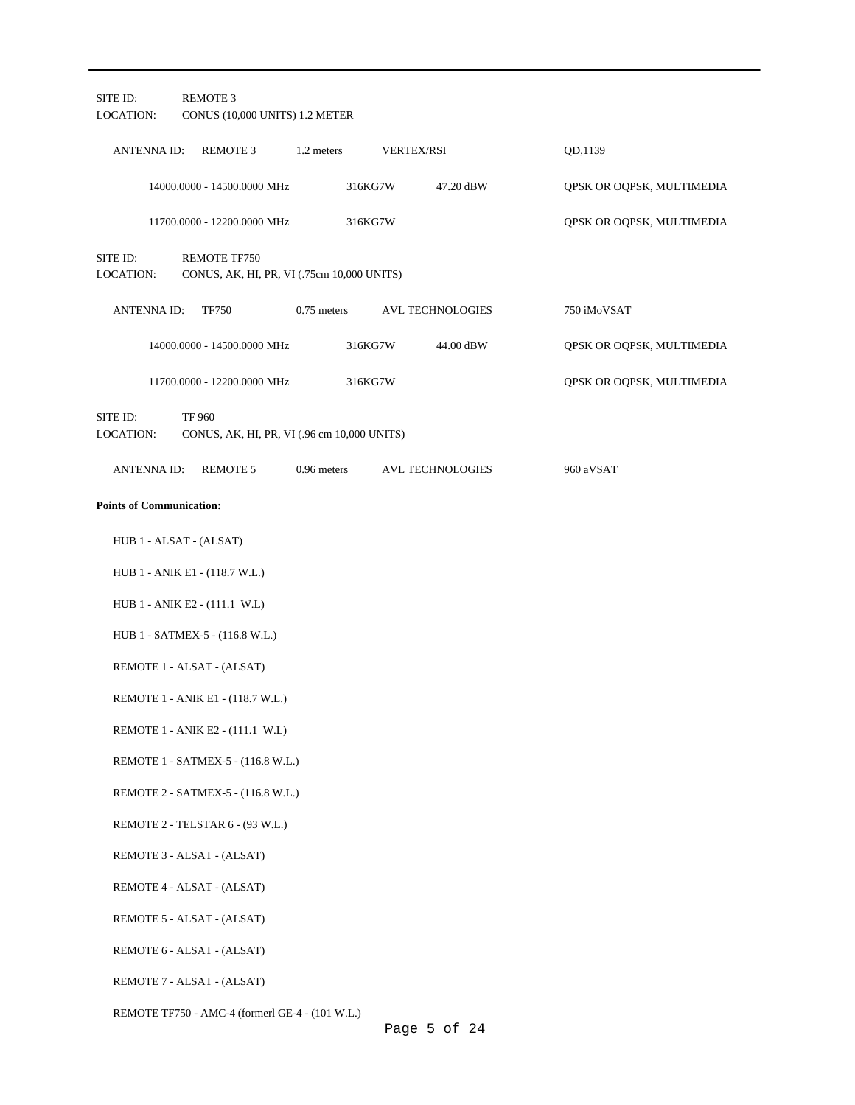| SITE ID:<br><b>LOCATION:</b>    | <b>REMOTE 3</b><br>CONUS (10,000 UNITS) 1.2 METER            |               |         |                         |                           |  |
|---------------------------------|--------------------------------------------------------------|---------------|---------|-------------------------|---------------------------|--|
| <b>ANTENNA ID:</b>              | REMOTE 3                                                     | 1.2 meters    |         | <b>VERTEX/RSI</b>       | QD,1139                   |  |
|                                 | 14000.0000 - 14500.0000 MHz                                  |               | 316KG7W | 47.20 dBW               | QPSK OR OQPSK, MULTIMEDIA |  |
|                                 | 11700.0000 - 12200.0000 MHz                                  |               | 316KG7W |                         | QPSK OR OQPSK, MULTIMEDIA |  |
| SITE ID:<br><b>LOCATION:</b>    | REMOTE TF750<br>CONUS, AK, HI, PR, VI (.75cm 10,000 UNITS)   |               |         |                         |                           |  |
| <b>ANTENNA ID:</b>              | TF750                                                        | $0.75$ meters |         | AVL TECHNOLOGIES        | 750 iMoVSAT               |  |
|                                 | 14000.0000 - 14500.0000 MHz                                  |               | 316KG7W | 44.00 dBW               | QPSK OR OQPSK, MULTIMEDIA |  |
|                                 | 11700.0000 - 12200.0000 MHz                                  |               | 316KG7W |                         | QPSK OR OQPSK, MULTIMEDIA |  |
| SITE ID:<br>LOCATION:           | <b>TF 960</b><br>CONUS, AK, HI, PR, VI (.96 cm 10,000 UNITS) |               |         |                         |                           |  |
| <b>ANTENNA ID:</b>              | <b>REMOTE 5</b>                                              | 0.96 meters   |         | <b>AVL TECHNOLOGIES</b> | 960 aVSAT                 |  |
| <b>Points of Communication:</b> |                                                              |               |         |                         |                           |  |
| HUB 1 - ALSAT - (ALSAT)         |                                                              |               |         |                         |                           |  |
|                                 | HUB 1 - ANIK E1 - (118.7 W.L.)                               |               |         |                         |                           |  |
|                                 | HUB 1 - ANIK E2 - (111.1 W.L)                                |               |         |                         |                           |  |
|                                 | HUB 1 - SATMEX-5 - (116.8 W.L.)                              |               |         |                         |                           |  |
|                                 | REMOTE 1 - ALSAT - (ALSAT)                                   |               |         |                         |                           |  |
|                                 | REMOTE 1 - ANIK E1 - (118.7 W.L.)                            |               |         |                         |                           |  |
|                                 | REMOTE 1 - ANIK E2 - (111.1 W.L)                             |               |         |                         |                           |  |
|                                 | REMOTE 1 - SATMEX-5 - (116.8 W.L.)                           |               |         |                         |                           |  |
|                                 | REMOTE 2 - SATMEX-5 - (116.8 W.L.)                           |               |         |                         |                           |  |
|                                 | REMOTE 2 - TELSTAR 6 - (93 W.L.)                             |               |         |                         |                           |  |
|                                 | REMOTE 3 - ALSAT - (ALSAT)                                   |               |         |                         |                           |  |
|                                 | REMOTE 4 - ALSAT - (ALSAT)                                   |               |         |                         |                           |  |
|                                 | REMOTE 5 - ALSAT - (ALSAT)                                   |               |         |                         |                           |  |
|                                 | REMOTE 6 - ALSAT - (ALSAT)                                   |               |         |                         |                           |  |
|                                 | REMOTE 7 - ALSAT - (ALSAT)                                   |               |         |                         |                           |  |
|                                 | REMOTE TF750 - AMC-4 (formerl GE-4 - (101 W.L.)              |               |         |                         |                           |  |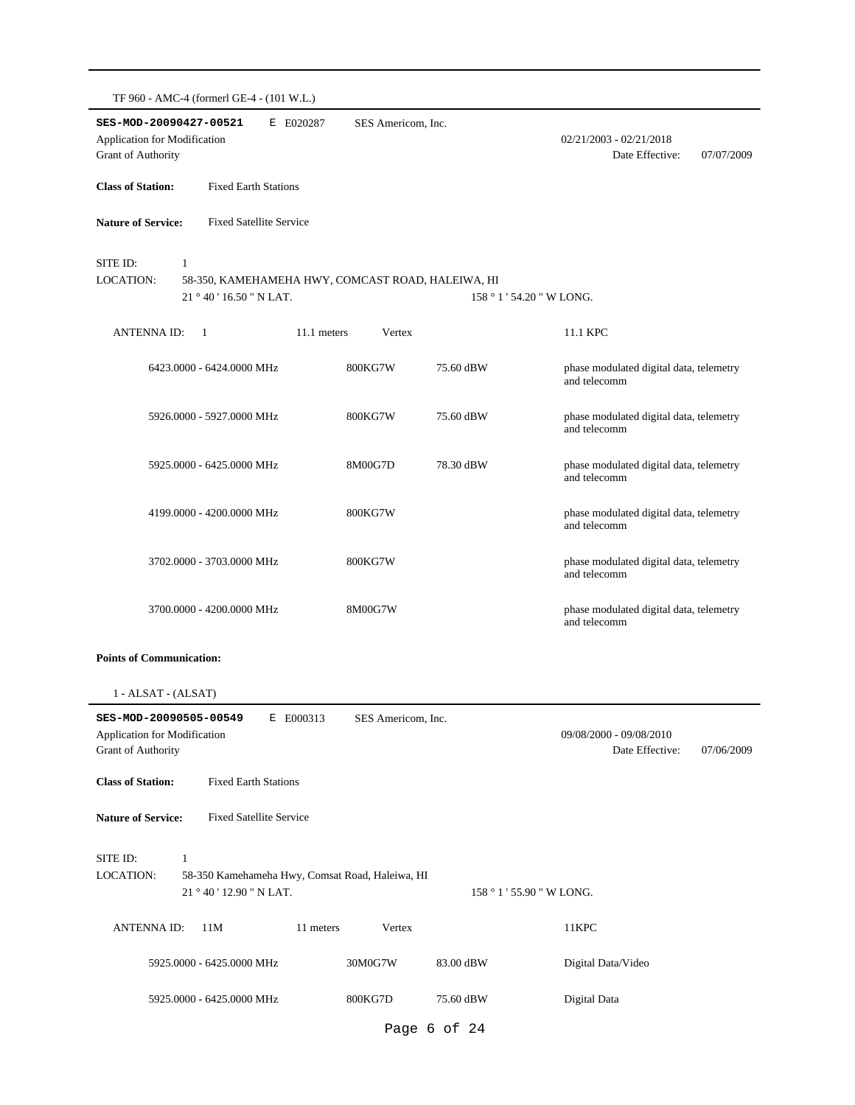| SES-MOD-20090427-00521<br>E E020287<br><b>Application for Modification</b><br>Grant of Authority                            | SES Americom, Inc. |                           | $02/21/2003 - 02/21/2018$<br>Date Effective:<br>07/07/2009 |
|-----------------------------------------------------------------------------------------------------------------------------|--------------------|---------------------------|------------------------------------------------------------|
| <b>Class of Station:</b><br><b>Fixed Earth Stations</b>                                                                     |                    |                           |                                                            |
| <b>Nature of Service:</b><br><b>Fixed Satellite Service</b>                                                                 |                    |                           |                                                            |
| SITE ID:<br>$\mathbf{1}$<br>LOCATION:<br>58-350, KAMEHAMEHA HWY, COMCAST ROAD, HALEIWA, HI<br>21°40'16.50"N LAT.            |                    | 158 ° 1 ' 54.20 " W LONG. |                                                            |
| <b>ANTENNA ID:</b><br>$\mathbf{1}$<br>11.1 meters                                                                           | Vertex             |                           | 11.1 KPC                                                   |
| 6423.0000 - 6424.0000 MHz                                                                                                   | 800KG7W            | 75.60 dBW                 | phase modulated digital data, telemetry<br>and telecomm    |
| 5926.0000 - 5927.0000 MHz                                                                                                   | 800KG7W            | 75.60 dBW                 | phase modulated digital data, telemetry<br>and telecomm    |
| 5925.0000 - 6425.0000 MHz                                                                                                   | 8M00G7D            | 78.30 dBW                 | phase modulated digital data, telemetry<br>and telecomm    |
| 4199.0000 - 4200.0000 MHz                                                                                                   | 800KG7W            |                           | phase modulated digital data, telemetry<br>and telecomm    |
| 3702.0000 - 3703.0000 MHz                                                                                                   | 800KG7W            |                           | phase modulated digital data, telemetry<br>and telecomm    |
| 3700.0000 - 4200.0000 MHz                                                                                                   | 8M00G7W            |                           | phase modulated digital data, telemetry<br>and telecomm    |
| <b>Points of Communication:</b>                                                                                             |                    |                           |                                                            |
| 1 - ALSAT - (ALSAT)                                                                                                         |                    |                           |                                                            |
| SES-MOD-20090505-00549<br>E E000313<br>Application for Modification<br><b>Grant of Authority</b>                            | SES Americom, Inc. |                           | 09/08/2000 - 09/08/2010<br>Date Effective:<br>07/06/2009   |
| <b>Class of Station:</b><br><b>Fixed Earth Stations</b>                                                                     |                    |                           |                                                            |
| <b>Nature of Service:</b><br><b>Fixed Satellite Service</b>                                                                 |                    |                           |                                                            |
| SITE ID:<br>$\mathbf{1}$<br><b>LOCATION:</b><br>58-350 Kamehameha Hwy, Comsat Road, Haleiwa, HI<br>21 ° 40 ' 12.90 " N LAT. |                    | 158 ° 1 ' 55.90 " W LONG. |                                                            |
| <b>ANTENNA ID:</b><br>11M<br>11 meters                                                                                      | Vertex             |                           | 11KPC                                                      |
| 5925.0000 - 6425.0000 MHz                                                                                                   | 30M0G7W            | 83.00 dBW                 | Digital Data/Video                                         |
| 5925.0000 - 6425.0000 MHz                                                                                                   | 800KG7D            | 75.60 dBW                 | Digital Data                                               |

Page 6 of 24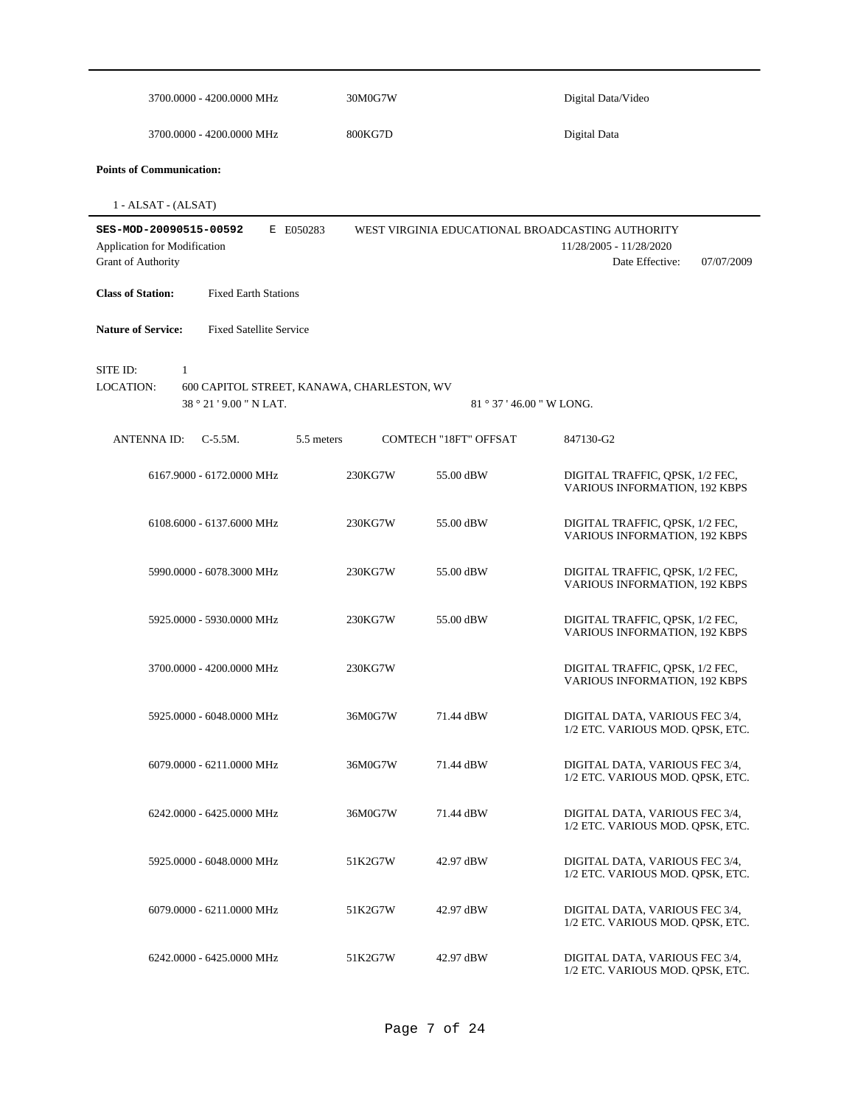| 3700.0000 - 4200.0000 MHz                                                                                             | 30M0G7W |                         | Digital Data/Video                                                                                           |
|-----------------------------------------------------------------------------------------------------------------------|---------|-------------------------|--------------------------------------------------------------------------------------------------------------|
| 3700.0000 - 4200.0000 MHz                                                                                             | 800KG7D |                         | Digital Data                                                                                                 |
| <b>Points of Communication:</b>                                                                                       |         |                         |                                                                                                              |
| 1 - ALSAT - (ALSAT)                                                                                                   |         |                         |                                                                                                              |
| SES-MOD-20090515-00592<br>E E050283<br>Application for Modification<br>Grant of Authority                             |         |                         | WEST VIRGINIA EDUCATIONAL BROADCASTING AUTHORITY<br>11/28/2005 - 11/28/2020<br>Date Effective:<br>07/07/2009 |
| <b>Class of Station:</b><br><b>Fixed Earth Stations</b>                                                               |         |                         |                                                                                                              |
| <b>Nature of Service:</b><br><b>Fixed Satellite Service</b>                                                           |         |                         |                                                                                                              |
| SITE ID:<br>$\mathbf{1}$<br><b>LOCATION:</b><br>600 CAPITOL STREET, KANAWA, CHARLESTON, WV<br>38 ° 21 ' 9.00 " N LAT. |         | $81°37'46.00''$ W LONG. |                                                                                                              |
| <b>ANTENNA ID:</b><br>$C-5.5M$ .<br>5.5 meters                                                                        |         | COMTECH "18FT" OFFSAT   | 847130-G2                                                                                                    |
| 6167.9000 - 6172.0000 MHz                                                                                             | 230KG7W | 55.00 dBW               | DIGITAL TRAFFIC, OPSK, 1/2 FEC,<br>VARIOUS INFORMATION, 192 KBPS                                             |
| 6108.6000 - 6137.6000 MHz                                                                                             | 230KG7W | 55.00 dBW               | DIGITAL TRAFFIC, QPSK, 1/2 FEC,<br>VARIOUS INFORMATION, 192 KBPS                                             |
| 5990.0000 - 6078.3000 MHz                                                                                             | 230KG7W | 55.00 dBW               | DIGITAL TRAFFIC, QPSK, 1/2 FEC,<br>VARIOUS INFORMATION, 192 KBPS                                             |
| 5925.0000 - 5930.0000 MHz                                                                                             | 230KG7W | 55.00 dBW               | DIGITAL TRAFFIC, QPSK, 1/2 FEC,<br>VARIOUS INFORMATION, 192 KBPS                                             |
| 3700.0000 - 4200.0000 MHz                                                                                             | 230KG7W |                         | DIGITAL TRAFFIC, OPSK, 1/2 FEC,<br><b>VARIOUS INFORMATION, 192 KBPS</b>                                      |
| 5925.0000 - 6048.0000 MHz                                                                                             | 36M0G7W | 71.44 dBW               | DIGITAL DATA, VARIOUS FEC 3/4,<br>1/2 ETC. VARIOUS MOD. QPSK, ETC.                                           |
| 6079.0000 - 6211.0000 MHz                                                                                             | 36M0G7W | 71.44 dBW               | DIGITAL DATA, VARIOUS FEC 3/4,<br>1/2 ETC. VARIOUS MOD. QPSK, ETC.                                           |
| 6242.0000 - 6425.0000 MHz                                                                                             | 36M0G7W | 71.44 dBW               | DIGITAL DATA, VARIOUS FEC 3/4,<br>1/2 ETC. VARIOUS MOD. QPSK, ETC.                                           |
| 5925,0000 - 6048,0000 MHz                                                                                             | 51K2G7W | 42.97 dBW               | DIGITAL DATA, VARIOUS FEC 3/4,<br>1/2 ETC. VARIOUS MOD. QPSK, ETC.                                           |
| 6079.0000 - 6211.0000 MHz                                                                                             | 51K2G7W | 42.97 dBW               | DIGITAL DATA, VARIOUS FEC 3/4,<br>1/2 ETC. VARIOUS MOD. QPSK, ETC.                                           |
| 6242.0000 - 6425.0000 MHz                                                                                             | 51K2G7W | 42.97 dBW               | DIGITAL DATA, VARIOUS FEC 3/4,<br>1/2 ETC. VARIOUS MOD. QPSK, ETC.                                           |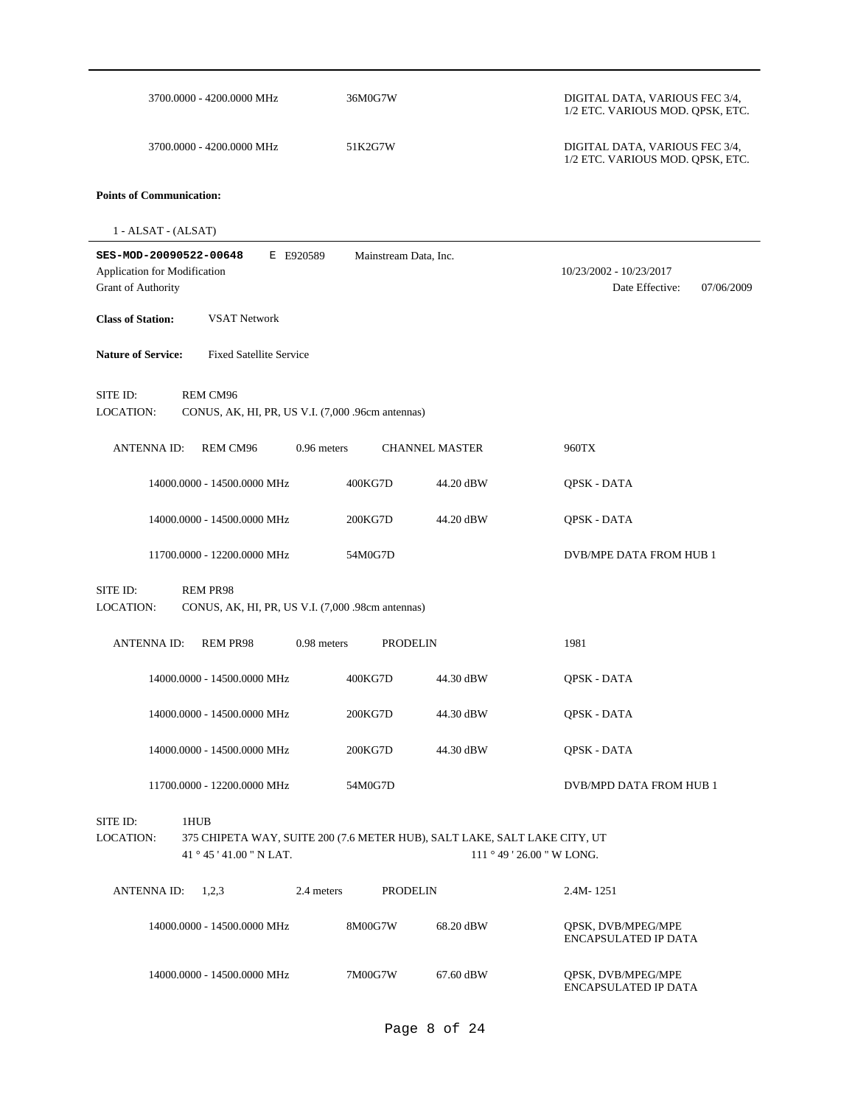| 3700.0000 - 4200.0000 MHz                                                                                                                      | 36M0G7W               |                       | DIGITAL DATA, VARIOUS FEC 3/4,<br>1/2 ETC. VARIOUS MOD. QPSK, ETC. |
|------------------------------------------------------------------------------------------------------------------------------------------------|-----------------------|-----------------------|--------------------------------------------------------------------|
| 3700.0000 - 4200.0000 MHz                                                                                                                      | 51K2G7W               |                       | DIGITAL DATA, VARIOUS FEC 3/4,<br>1/2 ETC. VARIOUS MOD. QPSK, ETC. |
| <b>Points of Communication:</b>                                                                                                                |                       |                       |                                                                    |
| 1 - ALSAT - (ALSAT)                                                                                                                            |                       |                       |                                                                    |
| SES-MOD-20090522-00648<br>E E920589<br>Application for Modification<br><b>Grant of Authority</b>                                               | Mainstream Data, Inc. |                       | 10/23/2002 - 10/23/2017<br>Date Effective:<br>07/06/2009           |
| <b>Class of Station:</b><br><b>VSAT Network</b>                                                                                                |                       |                       |                                                                    |
| <b>Nature of Service:</b><br><b>Fixed Satellite Service</b>                                                                                    |                       |                       |                                                                    |
| SITE ID:<br>REM CM96<br>LOCATION:<br>CONUS, AK, HI, PR, US V.I. (7,000 .96cm antennas)                                                         |                       |                       |                                                                    |
| <b>ANTENNA ID:</b><br><b>REM CM96</b><br>$0.96$ meters                                                                                         |                       | <b>CHANNEL MASTER</b> | 960TX                                                              |
| 14000.0000 - 14500.0000 MHz                                                                                                                    | 400KG7D               | 44.20 dBW             | QPSK - DATA                                                        |
| 14000.0000 - 14500.0000 MHz                                                                                                                    | 200KG7D               | 44.20 dBW             | QPSK - DATA                                                        |
| 11700.0000 - 12200.0000 MHz                                                                                                                    | 54M0G7D               |                       | DVB/MPE DATA FROM HUB 1                                            |
| SITE ID:<br>REM PR98<br>LOCATION:<br>CONUS, AK, HI, PR, US V.I. (7,000 .98cm antennas)                                                         |                       |                       |                                                                    |
| <b>ANTENNA ID:</b><br><b>REM PR98</b><br>0.98 meters                                                                                           | <b>PRODELIN</b>       |                       | 1981                                                               |
| 14000.0000 - 14500.0000 MHz                                                                                                                    | 400KG7D               | 44.30 dBW             | QPSK - DATA                                                        |
| 14000.0000 - 14500.0000 MHz                                                                                                                    | 200KG7D               | 44.30 dBW             | QPSK - DATA                                                        |
| 14000.0000 - 14500.0000 MHz                                                                                                                    | 200KG7D               | 44.30 dBW             | QPSK - DATA                                                        |
| 11700.0000 - 12200.0000 MHz                                                                                                                    | 54M0G7D               |                       | DVB/MPD DATA FROM HUB 1                                            |
| SITE ID:<br>1HUB<br>LOCATION:<br>375 CHIPETA WAY, SUITE 200 (7.6 METER HUB), SALT LAKE, SALT LAKE CITY, UT<br>41 $\degree$ 45 ' 41.00 " N LAT. |                       |                       | 111 ° 49 ' 26.00 " W LONG.                                         |
| ANTENNA ID:<br>1,2,3<br>2.4 meters                                                                                                             | <b>PRODELIN</b>       |                       | 2.4M-1251                                                          |
| 14000.0000 - 14500.0000 MHz                                                                                                                    | 8M00G7W               | 68.20 dBW             | QPSK, DVB/MPEG/MPE<br>ENCAPSULATED IP DATA                         |
| 14000.0000 - 14500.0000 MHz                                                                                                                    | 7M00G7W               | 67.60 dBW             | QPSK, DVB/MPEG/MPE<br><b>ENCAPSULATED IP DATA</b>                  |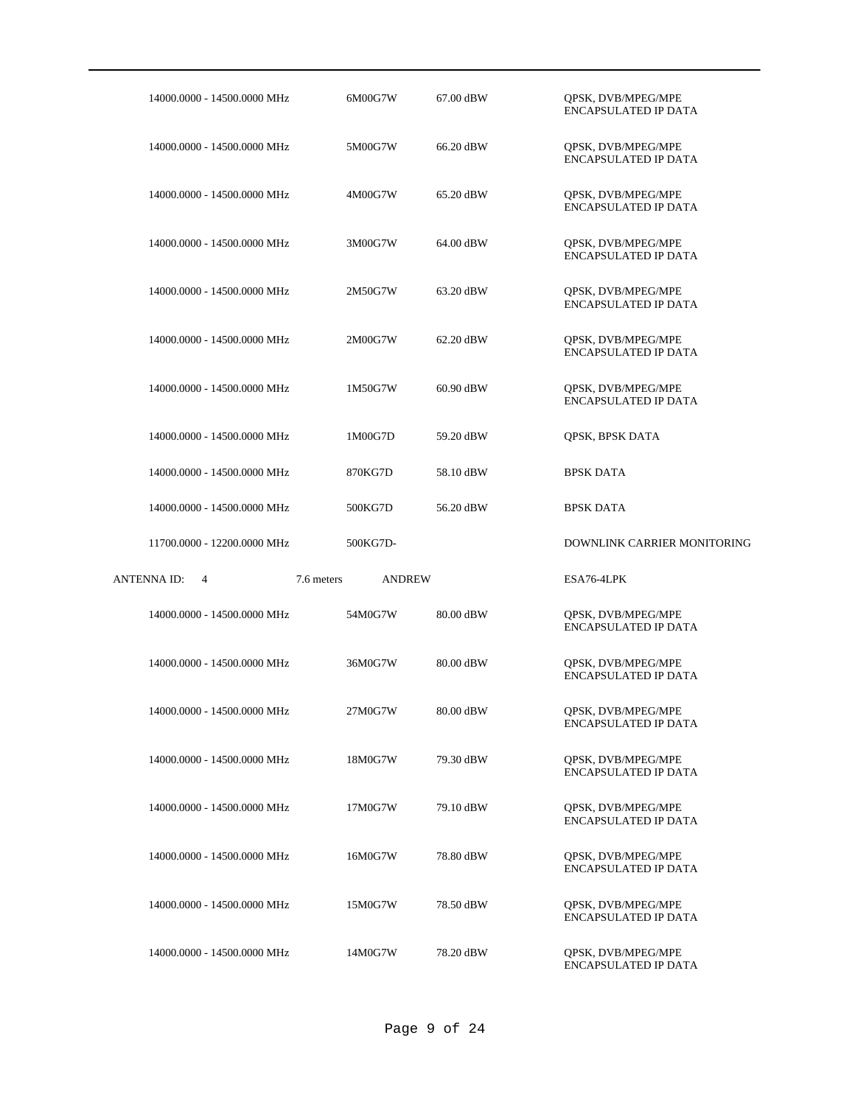| 14000.0000 - 14500.0000 MHz | 6M00G7W                     | 67.00 dBW | QPSK, DVB/MPEG/MPE<br><b>ENCAPSULATED IP DATA</b> |
|-----------------------------|-----------------------------|-----------|---------------------------------------------------|
| 14000.0000 - 14500.0000 MHz | 5M00G7W                     | 66.20 dBW | QPSK, DVB/MPEG/MPE<br><b>ENCAPSULATED IP DATA</b> |
| 14000.0000 - 14500.0000 MHz | 4M00G7W                     | 65.20 dBW | QPSK, DVB/MPEG/MPE<br>ENCAPSULATED IP DATA        |
| 14000.0000 - 14500.0000 MHz | 3M00G7W                     | 64.00 dBW | QPSK, DVB/MPEG/MPE<br><b>ENCAPSULATED IP DATA</b> |
| 14000.0000 - 14500.0000 MHz | 2M50G7W                     | 63.20 dBW | QPSK, DVB/MPEG/MPE<br>ENCAPSULATED IP DATA        |
| 14000.0000 - 14500.0000 MHz | 2M00G7W                     | 62.20 dBW | QPSK, DVB/MPEG/MPE<br>ENCAPSULATED IP DATA        |
| 14000.0000 - 14500.0000 MHz | 1M50G7W                     | 60.90 dBW | QPSK, DVB/MPEG/MPE<br><b>ENCAPSULATED IP DATA</b> |
| 14000.0000 - 14500.0000 MHz | 1M00G7D                     | 59.20 dBW | QPSK, BPSK DATA                                   |
| 14000.0000 - 14500.0000 MHz | 870KG7D                     | 58.10 dBW | <b>BPSK DATA</b>                                  |
| 14000.0000 - 14500.0000 MHz | 500KG7D                     | 56.20 dBW | <b>BPSK DATA</b>                                  |
|                             |                             |           |                                                   |
| 11700.0000 - 12200.0000 MHz | 500KG7D-                    |           | DOWNLINK CARRIER MONITORING                       |
| ANTENNA ID:<br>4            | 7.6 meters<br><b>ANDREW</b> |           | ESA76-4LPK                                        |
| 14000.0000 - 14500.0000 MHz | 54M0G7W                     | 80.00 dBW | QPSK, DVB/MPEG/MPE<br><b>ENCAPSULATED IP DATA</b> |
| 14000.0000 - 14500.0000 MHz | 36M0G7W                     | 80.00 dBW | QPSK, DVB/MPEG/MPE<br><b>ENCAPSULATED IP DATA</b> |
| 14000.0000 - 14500.0000 MHz | 27M0G7W                     | 80.00 dBW | QPSK, DVB/MPEG/MPE<br><b>ENCAPSULATED IP DATA</b> |
| 14000.0000 - 14500.0000 MHz | 18M0G7W                     | 79.30 dBW | QPSK, DVB/MPEG/MPE<br><b>ENCAPSULATED IP DATA</b> |
| 14000.0000 - 14500.0000 MHz | 17M0G7W                     | 79.10 dBW | QPSK, DVB/MPEG/MPE<br>ENCAPSULATED IP DATA        |
| 14000.0000 - 14500.0000 MHz | 16M0G7W                     | 78.80 dBW | QPSK, DVB/MPEG/MPE<br>ENCAPSULATED IP DATA        |
| 14000.0000 - 14500.0000 MHz | 15M0G7W                     | 78.50 dBW | QPSK, DVB/MPEG/MPE<br>ENCAPSULATED IP DATA        |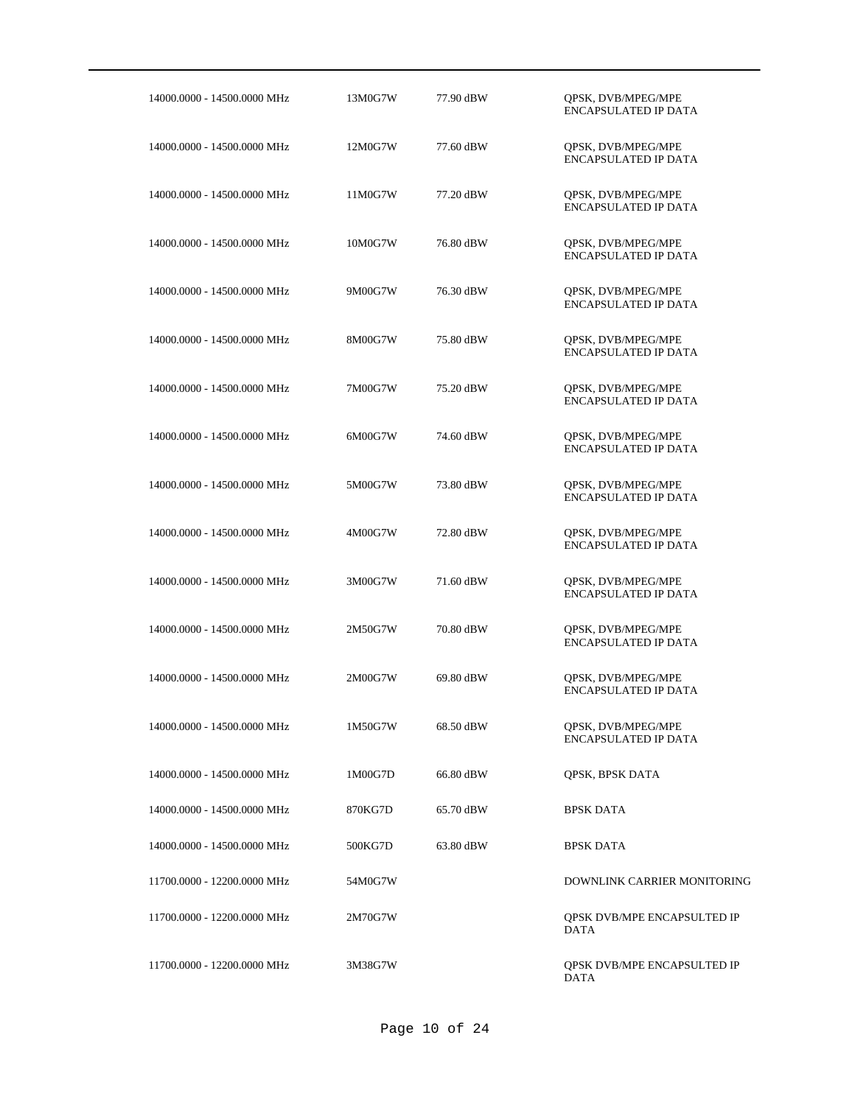| 14000.0000 - 14500.0000 MHz | 13M0G7W | 77.90 dBW | QPSK, DVB/MPEG/MPE<br><b>ENCAPSULATED IP DATA</b> |
|-----------------------------|---------|-----------|---------------------------------------------------|
| 14000.0000 - 14500.0000 MHz | 12M0G7W | 77.60 dBW | QPSK, DVB/MPEG/MPE<br>ENCAPSULATED IP DATA        |
| 14000.0000 - 14500.0000 MHz | 11M0G7W | 77.20 dBW | QPSK, DVB/MPEG/MPE<br>ENCAPSULATED IP DATA        |
| 14000.0000 - 14500.0000 MHz | 10M0G7W | 76.80 dBW | QPSK, DVB/MPEG/MPE<br>ENCAPSULATED IP DATA        |
| 14000.0000 - 14500.0000 MHz | 9M00G7W | 76.30 dBW | QPSK, DVB/MPEG/MPE<br>ENCAPSULATED IP DATA        |
| 14000.0000 - 14500.0000 MHz | 8M00G7W | 75.80 dBW | QPSK, DVB/MPEG/MPE<br><b>ENCAPSULATED IP DATA</b> |
| 14000.0000 - 14500.0000 MHz | 7M00G7W | 75.20 dBW | QPSK, DVB/MPEG/MPE<br><b>ENCAPSULATED IP DATA</b> |
| 14000.0000 - 14500.0000 MHz | 6M00G7W | 74.60 dBW | QPSK, DVB/MPEG/MPE<br><b>ENCAPSULATED IP DATA</b> |
| 14000.0000 - 14500.0000 MHz | 5M00G7W | 73.80 dBW | QPSK, DVB/MPEG/MPE<br><b>ENCAPSULATED IP DATA</b> |
| 14000.0000 - 14500.0000 MHz | 4M00G7W | 72.80 dBW | QPSK, DVB/MPEG/MPE<br><b>ENCAPSULATED IP DATA</b> |
| 14000.0000 - 14500.0000 MHz | 3M00G7W | 71.60 dBW | QPSK, DVB/MPEG/MPE<br><b>ENCAPSULATED IP DATA</b> |
| 14000.0000 - 14500.0000 MHz | 2M50G7W | 70.80 dBW | QPSK, DVB/MPEG/MPE<br><b>ENCAPSULATED IP DATA</b> |
| 14000.0000 - 14500.0000 MHz | 2M00G7W | 69.80 dBW | QPSK, DVB/MPEG/MPE<br><b>ENCAPSULATED IP DATA</b> |
| 14000.0000 - 14500.0000 MHz | 1M50G7W | 68.50 dBW | QPSK, DVB/MPEG/MPE<br><b>ENCAPSULATED IP DATA</b> |
| 14000.0000 - 14500.0000 MHz | 1M00G7D | 66.80 dBW | QPSK, BPSK DATA                                   |
| 14000.0000 - 14500.0000 MHz | 870KG7D | 65.70 dBW | <b>BPSK DATA</b>                                  |
| 14000.0000 - 14500.0000 MHz | 500KG7D | 63.80 dBW | <b>BPSK DATA</b>                                  |
| 11700.0000 - 12200.0000 MHz | 54M0G7W |           | DOWNLINK CARRIER MONITORING                       |
| 11700.0000 - 12200.0000 MHz | 2M70G7W |           | <b>QPSK DVB/MPE ENCAPSULTED IP</b><br><b>DATA</b> |
| 11700.0000 - 12200.0000 MHz | 3M38G7W |           | QPSK DVB/MPE ENCAPSULTED IP<br><b>DATA</b>        |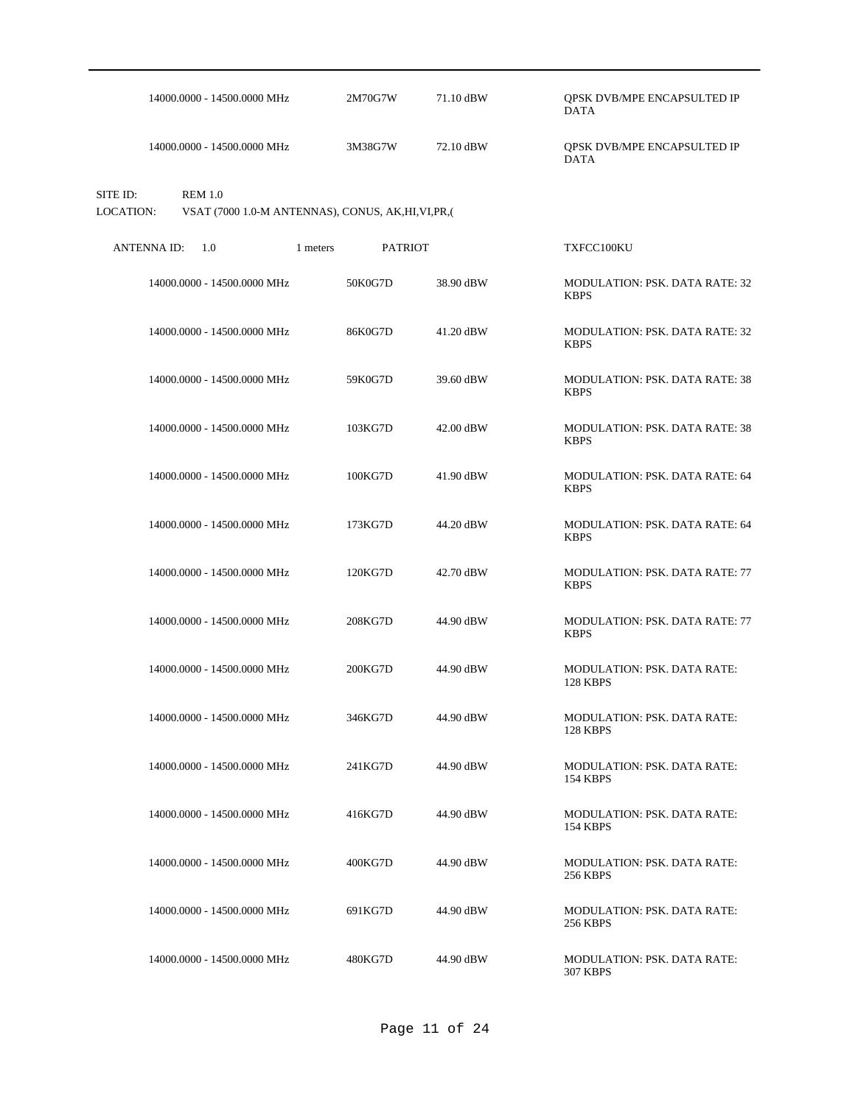|                              | 14000.0000 - 14500.0000 MHz | 2M70G7W                                              | 71.10 dBW | QPSK DVB/MPE ENCAPSULTED IP<br><b>DATA</b>            |
|------------------------------|-----------------------------|------------------------------------------------------|-----------|-------------------------------------------------------|
|                              | 14000.0000 - 14500.0000 MHz | 3M38G7W                                              | 72.10 dBW | QPSK DVB/MPE ENCAPSULTED IP<br><b>DATA</b>            |
| SITE ID:<br><b>LOCATION:</b> | <b>REM 1.0</b>              | VSAT (7000 1.0-M ANTENNAS), CONUS, AK, HI, VI, PR, ( |           |                                                       |
| <b>ANTENNA ID:</b>           | 1.0                         | <b>PATRIOT</b><br>1 meters                           |           | TXFCC100KU                                            |
|                              | 14000.0000 - 14500.0000 MHz | 50K0G7D                                              | 38.90 dBW | <b>MODULATION: PSK, DATA RATE: 32</b><br><b>KBPS</b>  |
|                              | 14000.0000 - 14500.0000 MHz | 86K0G7D                                              | 41.20 dBW | <b>MODULATION: PSK. DATA RATE: 32</b><br><b>KBPS</b>  |
|                              | 14000.0000 - 14500.0000 MHz | 59K0G7D                                              | 39.60 dBW | <b>MODULATION: PSK, DATA RATE: 38</b><br><b>KBPS</b>  |
|                              | 14000.0000 - 14500.0000 MHz | 103KG7D                                              | 42.00 dBW | <b>MODULATION: PSK. DATA RATE: 38</b><br><b>KBPS</b>  |
|                              | 14000.0000 - 14500.0000 MHz | 100KG7D                                              | 41.90 dBW | <b>MODULATION: PSK. DATA RATE: 64</b><br><b>KBPS</b>  |
|                              | 14000.0000 - 14500.0000 MHz | 173KG7D                                              | 44.20 dBW | <b>MODULATION: PSK. DATA RATE: 64</b><br><b>KBPS</b>  |
|                              | 14000.0000 - 14500.0000 MHz | 120KG7D                                              | 42.70 dBW | <b>MODULATION: PSK. DATA RATE: 77</b><br><b>KBPS</b>  |
|                              | 14000.0000 - 14500.0000 MHz | 208KG7D                                              | 44.90 dBW | MODULATION: PSK. DATA RATE: 77<br><b>KBPS</b>         |
|                              | 14000.0000 - 14500.0000 MHz | 200KG7D                                              | 44.90 dBW | MODULATION: PSK. DATA RATE:<br><b>128 KBPS</b>        |
|                              | 14000.0000 - 14500.0000 MHz | 346KG7D                                              | 44.90 dBW | <b>MODULATION: PSK. DATA RATE:</b><br><b>128 KBPS</b> |
|                              | 14000.0000 - 14500.0000 MHz | 241KG7D                                              | 44.90 dBW | <b>MODULATION: PSK. DATA RATE:</b><br><b>154 KBPS</b> |
|                              | 14000.0000 - 14500.0000 MHz | 416KG7D                                              | 44.90 dBW | <b>MODULATION: PSK. DATA RATE:</b><br>154 KBPS        |
|                              | 14000.0000 - 14500.0000 MHz | 400KG7D                                              | 44.90 dBW | <b>MODULATION: PSK. DATA RATE:</b><br><b>256 KBPS</b> |
|                              | 14000.0000 - 14500.0000 MHz | 691KG7D                                              | 44.90 dBW | <b>MODULATION: PSK. DATA RATE:</b><br><b>256 KBPS</b> |
|                              | 14000.0000 - 14500.0000 MHz | 480KG7D                                              | 44.90 dBW | <b>MODULATION: PSK. DATA RATE:</b><br><b>307 KBPS</b> |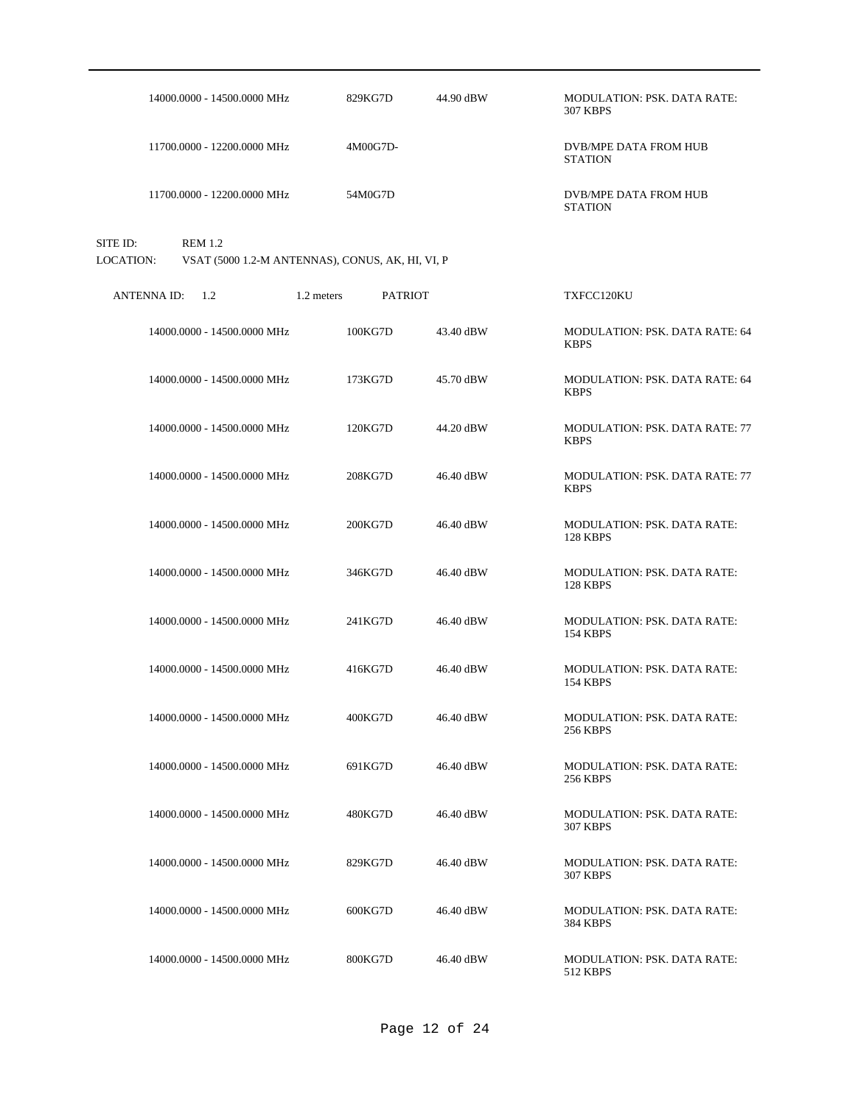| 14000.0000 - 14500.0000 MHz             | 829KG7D                                          | 44.90 dBW | <b>MODULATION: PSK. DATA RATE:</b><br><b>307 KBPS</b> |
|-----------------------------------------|--------------------------------------------------|-----------|-------------------------------------------------------|
| 11700.0000 - 12200.0000 MHz             | 4M00G7D-                                         |           | DVB/MPE DATA FROM HUB<br><b>STATION</b>               |
| 11700.0000 - 12200.0000 MHz             | 54M0G7D                                          |           | DVB/MPE DATA FROM HUB<br><b>STATION</b>               |
| <b>REM 1.2</b><br>SITE ID:<br>LOCATION: | VSAT (5000 1.2-M ANTENNAS), CONUS, AK, HI, VI, P |           |                                                       |
| <b>ANTENNA ID:</b><br>1.2               | 1.2 meters<br><b>PATRIOT</b>                     |           | TXFCC120KU                                            |
| 14000.0000 - 14500.0000 MHz             | 100KG7D                                          | 43.40 dBW | MODULATION: PSK. DATA RATE: 64<br><b>KBPS</b>         |
| 14000.0000 - 14500.0000 MHz             | 173KG7D                                          | 45.70 dBW | MODULATION: PSK. DATA RATE: 64<br><b>KBPS</b>         |
| 14000.0000 - 14500.0000 MHz             | 120KG7D                                          | 44.20 dBW | <b>MODULATION: PSK. DATA RATE: 77</b><br><b>KBPS</b>  |
| 14000.0000 - 14500.0000 MHz             | 208KG7D                                          | 46.40 dBW | <b>MODULATION: PSK. DATA RATE: 77</b><br><b>KBPS</b>  |
| 14000.0000 - 14500.0000 MHz             | 200KG7D                                          | 46.40 dBW | <b>MODULATION: PSK. DATA RATE:</b><br><b>128 KBPS</b> |
| 14000.0000 - 14500.0000 MHz             | 346KG7D                                          | 46.40 dBW | <b>MODULATION: PSK, DATA RATE:</b><br><b>128 KBPS</b> |
| 14000.0000 - 14500.0000 MHz             | 241KG7D                                          | 46.40 dBW | <b>MODULATION: PSK. DATA RATE:</b><br><b>154 KBPS</b> |
| 14000.0000 - 14500.0000 MHz             | 416KG7D                                          | 46.40 dBW | <b>MODULATION: PSK. DATA RATE:</b><br><b>154 KBPS</b> |
| 14000.0000 - 14500.0000 MHz             | 400KG7D                                          | 46.40 dBW | MODULATION: PSK. DATA RATE:<br><b>256 KBPS</b>        |
| 14000.0000 - 14500.0000 MHz             | 691KG7D                                          | 46.40 dBW | MODULATION: PSK. DATA RATE:<br><b>256 KBPS</b>        |
| 14000.0000 - 14500.0000 MHz             | 480KG7D                                          | 46.40 dBW | <b>MODULATION: PSK. DATA RATE:</b><br><b>307 KBPS</b> |
| 14000.0000 - 14500.0000 MHz             | 829KG7D                                          | 46.40 dBW | MODULATION: PSK. DATA RATE:<br>307 KBPS               |

46.40 dBW MODULATION: PSK. DATA RATE: 384 KBPS

46.40 dBW MODULATION: PSK. DATA RATE: 512 KBPS

14000.0000 - 14500.0000 MHz 600KG7D

14000.0000 - 14500.0000 MHz 800KG7D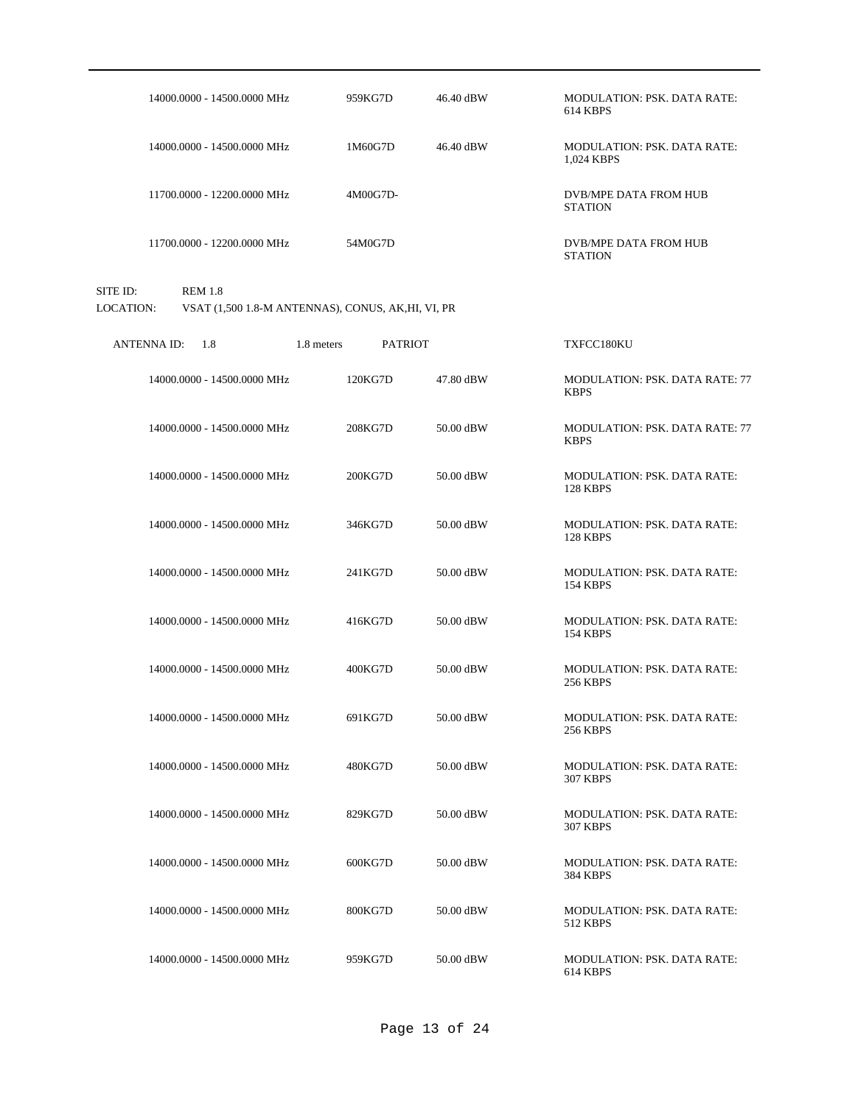| 14000.0000 - 14500.0000 MHz             | 959KG7D                                            | 46.40 dBW | <b>MODULATION: PSK. DATA RATE:</b><br>614 KBPS        |
|-----------------------------------------|----------------------------------------------------|-----------|-------------------------------------------------------|
| 14000.0000 - 14500.0000 MHz             | 1M60G7D                                            | 46.40 dBW | <b>MODULATION: PSK. DATA RATE:</b><br>1.024 KBPS      |
| 11700.0000 - 12200.0000 MHz             | 4M00G7D-                                           |           | <b>DVB/MPE DATA FROM HUB</b><br><b>STATION</b>        |
| 11700.0000 - 12200.0000 MHz             | 54M0G7D                                            |           | <b>DVB/MPE DATA FROM HUB</b><br><b>STATION</b>        |
| SITE ID:<br><b>REM 1.8</b><br>LOCATION: | VSAT (1,500 1.8-M ANTENNAS), CONUS, AK, HI, VI, PR |           |                                                       |
| <b>ANTENNAID:</b><br>1.8                | 1.8 meters<br><b>PATRIOT</b>                       |           | TXFCC180KU                                            |
| 14000.0000 - 14500.0000 MHz             | 120KG7D                                            | 47.80 dBW | <b>MODULATION: PSK, DATA RATE: 77</b><br><b>KBPS</b>  |
| 14000.0000 - 14500.0000 MHz             | 208KG7D                                            | 50.00 dBW | <b>MODULATION: PSK, DATA RATE: 77</b><br><b>KBPS</b>  |
| 14000.0000 - 14500.0000 MHz             | 200KG7D                                            | 50.00 dBW | <b>MODULATION: PSK. DATA RATE:</b><br><b>128 KBPS</b> |
| 14000.0000 - 14500.0000 MHz             | 346KG7D                                            | 50.00 dBW | <b>MODULATION: PSK. DATA RATE:</b><br><b>128 KBPS</b> |
| 14000.0000 - 14500.0000 MHz             | 241KG7D                                            | 50.00 dBW | <b>MODULATION: PSK. DATA RATE:</b><br><b>154 KBPS</b> |
| 14000.0000 - 14500.0000 MHz             | 416KG7D                                            | 50.00 dBW | <b>MODULATION: PSK. DATA RATE:</b><br>154 KBPS        |
| 14000.0000 - 14500.0000 MHz             | 400KG7D                                            | 50.00 dBW | <b>MODULATION: PSK. DATA RATE:</b><br><b>256 KBPS</b> |
| 14000.0000 - 14500.0000 MHz             | 691KG7D                                            | 50.00 dBW | <b>MODULATION: PSK. DATA RATE:</b><br><b>256 KBPS</b> |
| 14000.0000 - 14500.0000 MHz             | 480KG7D                                            | 50.00 dBW | <b>MODULATION: PSK. DATA RATE:</b><br><b>307 KBPS</b> |
| 14000.0000 - 14500.0000 MHz             | 829KG7D                                            | 50.00 dBW | <b>MODULATION: PSK. DATA RATE:</b><br><b>307 KBPS</b> |
| 14000.0000 - 14500.0000 MHz             | 600KG7D                                            | 50.00 dBW | <b>MODULATION: PSK. DATA RATE:</b><br>384 KBPS        |
| 14000.0000 - 14500.0000 MHz             | 800KG7D                                            | 50.00 dBW | MODULATION: PSK. DATA RATE:<br>512 KBPS               |
| 14000.0000 - 14500.0000 MHz             | 959KG7D                                            | 50.00 dBW | MODULATION: PSK. DATA RATE:<br>614 KBPS               |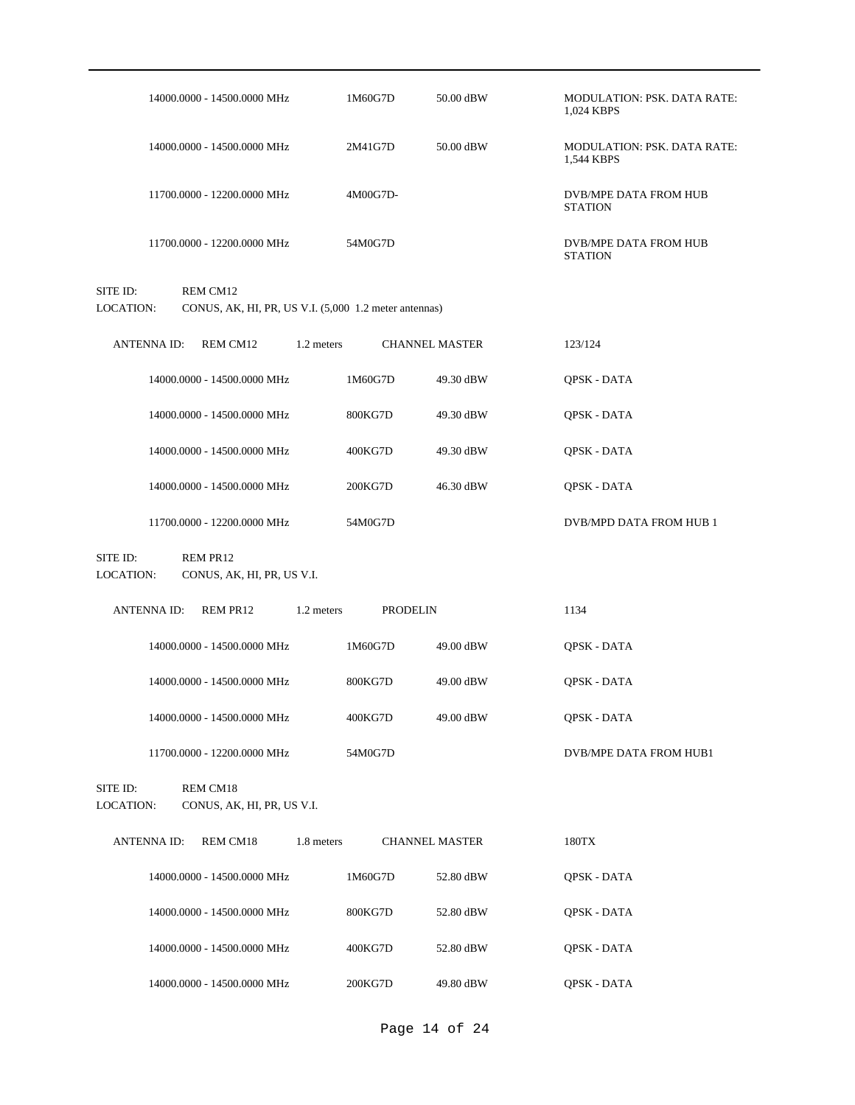| 14000.0000 - 14500.0000 MHz                                                                | 1M60G7D         | 50.00 dBW             | <b>MODULATION: PSK. DATA RATE:</b><br>1,024 KBPS |
|--------------------------------------------------------------------------------------------|-----------------|-----------------------|--------------------------------------------------|
| 14000.0000 - 14500.0000 MHz                                                                | 2M41G7D         | 50.00 dBW             | MODULATION: PSK. DATA RATE:<br>1,544 KBPS        |
| 11700.0000 - 12200.0000 MHz                                                                | 4M00G7D-        |                       | DVB/MPE DATA FROM HUB<br><b>STATION</b>          |
| 11700.0000 - 12200.0000 MHz                                                                | 54M0G7D         |                       | DVB/MPE DATA FROM HUB<br><b>STATION</b>          |
| SITE ID:<br>REM CM12<br>LOCATION:<br>CONUS, AK, HI, PR, US V.I. (5,000 1.2 meter antennas) |                 |                       |                                                  |
| <b>ANTENNAID:</b><br>REM CM12<br>1.2 meters                                                |                 | <b>CHANNEL MASTER</b> | 123/124                                          |
| 14000.0000 - 14500.0000 MHz                                                                | 1M60G7D         | 49.30 dBW             | QPSK - DATA                                      |
| 14000.0000 - 14500.0000 MHz                                                                | 800KG7D         | 49.30 dBW             | QPSK - DATA                                      |
| 14000.0000 - 14500.0000 MHz                                                                | 400KG7D         | 49.30 dBW             | QPSK - DATA                                      |
| 14000.0000 - 14500.0000 MHz                                                                | 200KG7D         | 46.30 dBW             | QPSK - DATA                                      |
| 11700.0000 - 12200.0000 MHz                                                                | 54M0G7D         |                       | DVB/MPD DATA FROM HUB 1                          |
|                                                                                            |                 |                       |                                                  |
| SITE ID:<br>REM PR12<br>LOCATION:<br>CONUS, AK, HI, PR, US V.I.                            |                 |                       |                                                  |
| <b>ANTENNA ID:</b><br>REM PR12<br>1.2 meters                                               | <b>PRODELIN</b> |                       | 1134                                             |
| 14000.0000 - 14500.0000 MHz                                                                | 1M60G7D         | 49.00 dBW             | QPSK - DATA                                      |
| 14000.0000 - 14500.0000 MHz                                                                | 800KG7D         | 49.00 dBW             | QPSK - DATA                                      |
| 14000.0000 - 14500.0000 MHz                                                                | 400KG7D         | 49.00 dBW             | QPSK - DATA                                      |
| 11700.0000 - 12200.0000 MHz                                                                | 54M0G7D         |                       | DVB/MPE DATA FROM HUB1                           |
| SITE ID:<br>REM CM18<br>LOCATION:<br>CONUS, AK, HI, PR, US V.I.                            |                 |                       |                                                  |
| REM CM18<br><b>ANTENNA ID:</b><br>1.8 meters                                               |                 | <b>CHANNEL MASTER</b> | $180\mathrm{TX}$                                 |
| 14000.0000 - 14500.0000 MHz                                                                | 1M60G7D         | 52.80 dBW             | QPSK - DATA                                      |
| 14000.0000 - 14500.0000 MHz                                                                | 800KG7D         | 52.80 dBW             | QPSK - DATA                                      |
| 14000.0000 - 14500.0000 MHz                                                                | 400KG7D         | 52.80 dBW             | QPSK - DATA                                      |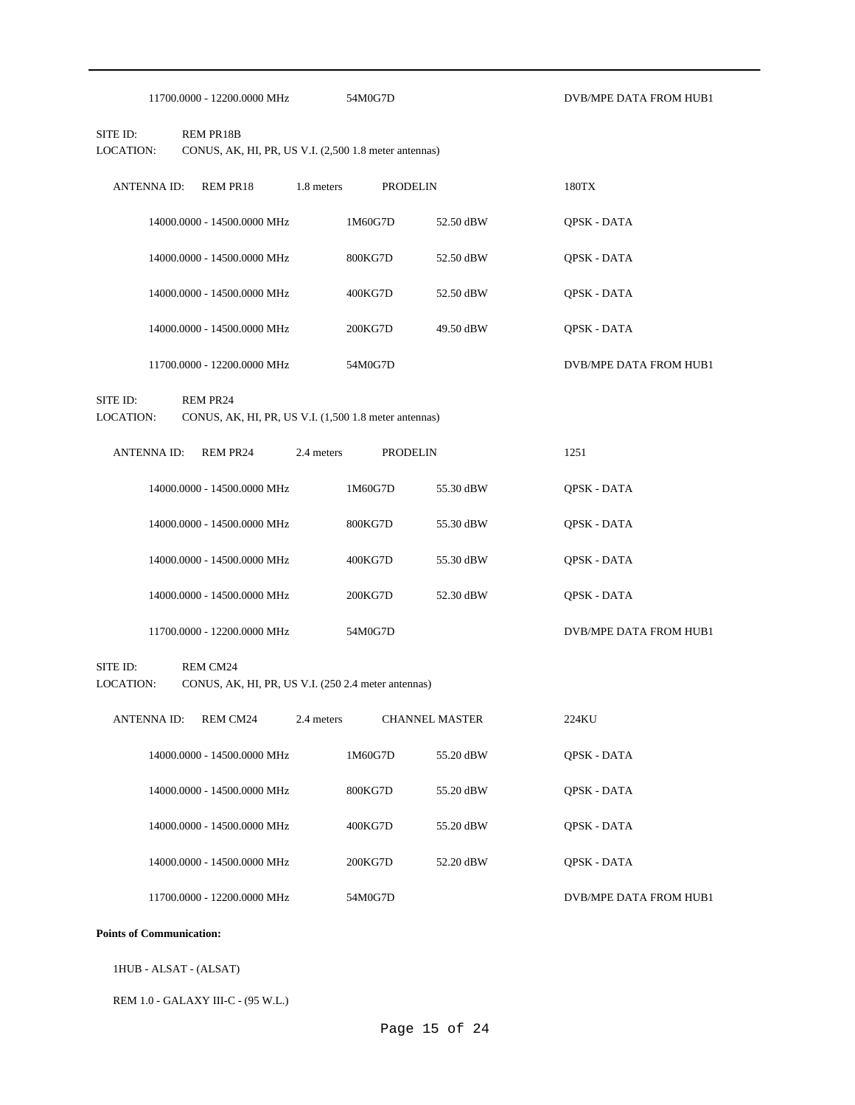| 11700,0000 - 12200,0000 MHz | 54M0G7D |
|-----------------------------|---------|
|-----------------------------|---------|

SITE ID: REM PR18B LOCATION: CONUS, AK, HI, PR, US V.I. (2,500 1.8 meter antennas)

| REM PR18<br>ANTENNA ID:     | 1.8 meters | <b>PRODELIN</b> | 180TX              |                        |
|-----------------------------|------------|-----------------|--------------------|------------------------|
| 14000.0000 - 14500.0000 MHz | 1M60G7D    | 52.50 dBW       | <b>OPSK - DATA</b> |                        |
| 14000.0000 - 14500.0000 MHz | 800KG7D    | 52.50 dBW       | <b>OPSK - DATA</b> |                        |
| 14000,0000 - 14500,0000 MHz | 400KG7D    | 52.50 dBW       | <b>OPSK - DATA</b> |                        |
| 14000.0000 - 14500.0000 MHz | 200KG7D    | 49.50 dBW       | <b>OPSK - DATA</b> |                        |
| 11700.0000 - 12200.0000 MHz | 54M0G7D    |                 |                    | DVB/MPE DATA FROM HUB1 |

 $\texttt{DVB}$  /MPE DATA FROM HUB1

SITE ID: REM PR24

LOCATION: CONUS, AK, HI, PR, US V.I. (1,500 1.8 meter antennas)

| <b>REM PR24</b><br>ANTENNA ID: | <b>PRODELIN</b><br>2.4 meters |           | 1251                   |
|--------------------------------|-------------------------------|-----------|------------------------|
| 14000.0000 - 14500.0000 MHz    | 1M60G7D                       | 55.30 dBW | <b>OPSK - DATA</b>     |
| 14000.0000 - 14500.0000 MHz    | 800KG7D                       | 55.30 dBW | <b>OPSK - DATA</b>     |
| 14000.0000 - 14500.0000 MHz    | 400KG7D                       | 55.30 dBW | <b>OPSK - DATA</b>     |
| 14000.0000 - 14500.0000 MHz    | 200KG7D                       | 52.30 dBW | <b>OPSK - DATA</b>     |
| 11700.0000 - 12200.0000 MHz    | 54M0G7D                       |           | DVB/MPE DATA FROM HUB1 |

SITE ID: REM CM24

LOCATION: CONUS, AK, HI, PR, US V.I. (250 2.4 meter antennas)

| REM CM24<br><b>ANTENNA ID:</b> | 2.4 meters | <b>CHANNEL MASTER</b> |           | 224KU                  |
|--------------------------------|------------|-----------------------|-----------|------------------------|
| 14000.0000 - 14500.0000 MHz    |            | 1M60G7D               | 55.20 dBW | <b>OPSK - DATA</b>     |
| 14000.0000 - 14500.0000 MHz    |            | 800KG7D               | 55.20 dBW | <b>OPSK - DATA</b>     |
| 14000.0000 - 14500.0000 MHz    |            | 400KG7D               | 55.20 dBW | <b>OPSK - DATA</b>     |
| 14000.0000 - 14500.0000 MHz    |            | 200KG7D               | 52.20 dBW | <b>OPSK - DATA</b>     |
| 11700.0000 - 12200.0000 MHz    |            | 54M0G7D               |           | DVB/MPE DATA FROM HUB1 |

## **Points of Communication:**

1HUB - ALSAT - (ALSAT)

REM 1.0 - GALAXY III-C - (95 W.L.)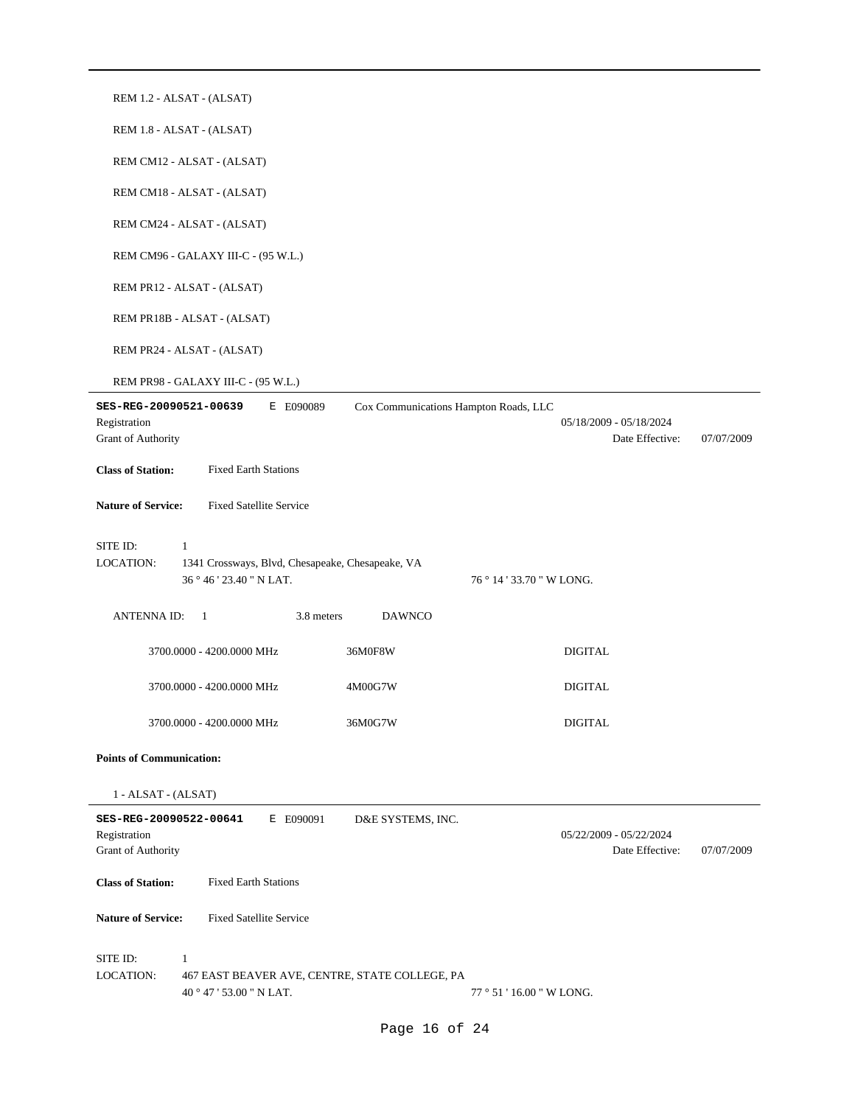| REM 1.2 - ALSAT - (ALSAT)                                                                                                     |                                                          |  |
|-------------------------------------------------------------------------------------------------------------------------------|----------------------------------------------------------|--|
| REM 1.8 - ALSAT - (ALSAT)                                                                                                     |                                                          |  |
| REM CM12 - ALSAT - (ALSAT)                                                                                                    |                                                          |  |
| REM CM18 - ALSAT - (ALSAT)                                                                                                    |                                                          |  |
| REM CM24 - ALSAT - (ALSAT)                                                                                                    |                                                          |  |
| REM CM96 - GALAXY III-C - (95 W.L.)                                                                                           |                                                          |  |
| REM PR12 - ALSAT - (ALSAT)                                                                                                    |                                                          |  |
| REM PR18B - ALSAT - (ALSAT)                                                                                                   |                                                          |  |
| REM PR24 - ALSAT - (ALSAT)                                                                                                    |                                                          |  |
| REM PR98 - GALAXY III-C - (95 W.L.)                                                                                           |                                                          |  |
| SES-REG-20090521-00639<br>Cox Communications Hampton Roads, LLC<br>E E090089<br>Registration<br>Grant of Authority            | 05/18/2009 - 05/18/2024<br>Date Effective:<br>07/07/2009 |  |
| <b>Class of Station:</b><br><b>Fixed Earth Stations</b>                                                                       |                                                          |  |
| <b>Nature of Service:</b><br><b>Fixed Satellite Service</b>                                                                   |                                                          |  |
| SITE ID:<br>$\mathbf{1}$                                                                                                      |                                                          |  |
| <b>LOCATION:</b><br>1341 Crossways, Blvd, Chesapeake, Chesapeake, VA<br>36 ° 46 ' 23.40 " N LAT.<br>76 ° 14 ' 33.70 " W LONG. |                                                          |  |
| 3.8 meters<br>ANTENNA ID:<br>$\overline{1}$<br><b>DAWNCO</b>                                                                  |                                                          |  |
| 36M0F8W<br>3700.0000 - 4200.0000 MHz                                                                                          | <b>DIGITAL</b>                                           |  |
| 3700.0000 - 4200.0000 MHz<br>4M00G7W                                                                                          | <b>DIGITAL</b>                                           |  |
| 36M0G7W<br>3700.0000 - 4200.0000 MHz                                                                                          | <b>DIGITAL</b>                                           |  |
| <b>Points of Communication:</b>                                                                                               |                                                          |  |
| 1 - ALSAT - (ALSAT)                                                                                                           |                                                          |  |
| SES-REG-20090522-00641<br>E E090091<br>D&E SYSTEMS, INC.<br>Registration<br><b>Grant of Authority</b>                         | 05/22/2009 - 05/22/2024<br>Date Effective:<br>07/07/2009 |  |
| <b>Class of Station:</b><br><b>Fixed Earth Stations</b>                                                                       |                                                          |  |
| <b>Nature of Service:</b><br><b>Fixed Satellite Service</b>                                                                   |                                                          |  |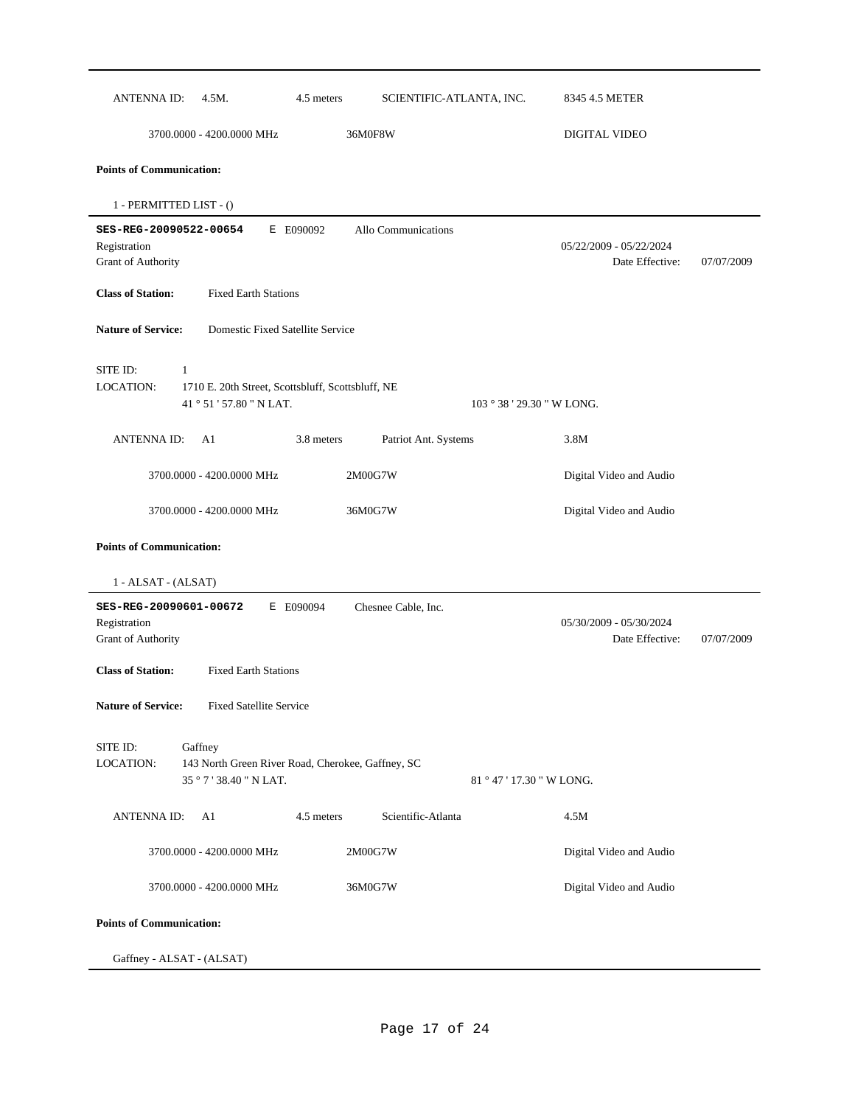| <b>ANTENNA ID:</b>                                                                  | 4.5M.                                                         | 4.5 meters                                        | SCIENTIFIC-ATLANTA, INC. |                            | 8345 4.5 METER                             |            |
|-------------------------------------------------------------------------------------|---------------------------------------------------------------|---------------------------------------------------|--------------------------|----------------------------|--------------------------------------------|------------|
|                                                                                     | 3700.0000 - 4200.0000 MHz                                     |                                                   | 36M0F8W                  |                            | DIGITAL VIDEO                              |            |
| <b>Points of Communication:</b>                                                     |                                                               |                                                   |                          |                            |                                            |            |
| 1 - PERMITTED LIST - ()                                                             |                                                               |                                                   |                          |                            |                                            |            |
| SES-REG-20090522-00654<br>Registration<br>Grant of Authority                        |                                                               | E E090092                                         | Allo Communications      |                            | 05/22/2009 - 05/22/2024<br>Date Effective: | 07/07/2009 |
| <b>Class of Station:</b>                                                            | <b>Fixed Earth Stations</b>                                   |                                                   |                          |                            |                                            |            |
| <b>Nature of Service:</b>                                                           |                                                               | Domestic Fixed Satellite Service                  |                          |                            |                                            |            |
| SITE ID:<br>$\mathbf{1}$<br>LOCATION:                                               | 41 ° 51 ' 57.80 " N LAT.                                      | 1710 E. 20th Street, Scottsbluff, Scottsbluff, NE |                          | 103 ° 38 ' 29.30 " W LONG. |                                            |            |
| <b>ANTENNAID:</b>                                                                   | A1                                                            | 3.8 meters                                        | Patriot Ant. Systems     |                            | 3.8M                                       |            |
|                                                                                     | 3700.0000 - 4200.0000 MHz                                     |                                                   | 2M00G7W                  |                            | Digital Video and Audio                    |            |
|                                                                                     | 3700.0000 - 4200.0000 MHz                                     |                                                   | 36M0G7W                  |                            | Digital Video and Audio                    |            |
| 1 - ALSAT - (ALSAT)<br>SES-REG-20090601-00672<br>Registration<br>Grant of Authority |                                                               | E E090094                                         | Chesnee Cable, Inc.      |                            | 05/30/2009 - 05/30/2024<br>Date Effective: | 07/07/2009 |
| <b>Class of Station:</b><br><b>Nature of Service:</b>                               | <b>Fixed Earth Stations</b><br><b>Fixed Satellite Service</b> |                                                   |                          |                            |                                            |            |
| SITE ID:<br>LOCATION:                                                               | Gaffney<br>35 ° 7 ' 38.40 " N LAT.                            | 143 North Green River Road, Cherokee, Gaffney, SC |                          | 81 ° 47 ' 17.30 " W LONG.  |                                            |            |
| <b>ANTENNA ID:</b>                                                                  | A1                                                            | 4.5 meters                                        | Scientific-Atlanta       |                            | 4.5M                                       |            |
|                                                                                     | 3700.0000 - 4200.0000 MHz                                     |                                                   | 2M00G7W                  |                            | Digital Video and Audio                    |            |
|                                                                                     | 3700.0000 - 4200.0000 MHz                                     |                                                   | 36M0G7W                  |                            | Digital Video and Audio                    |            |
| <b>Points of Communication:</b>                                                     |                                                               |                                                   |                          |                            |                                            |            |
| Gaffney - ALSAT - (ALSAT)                                                           |                                                               |                                                   |                          |                            |                                            |            |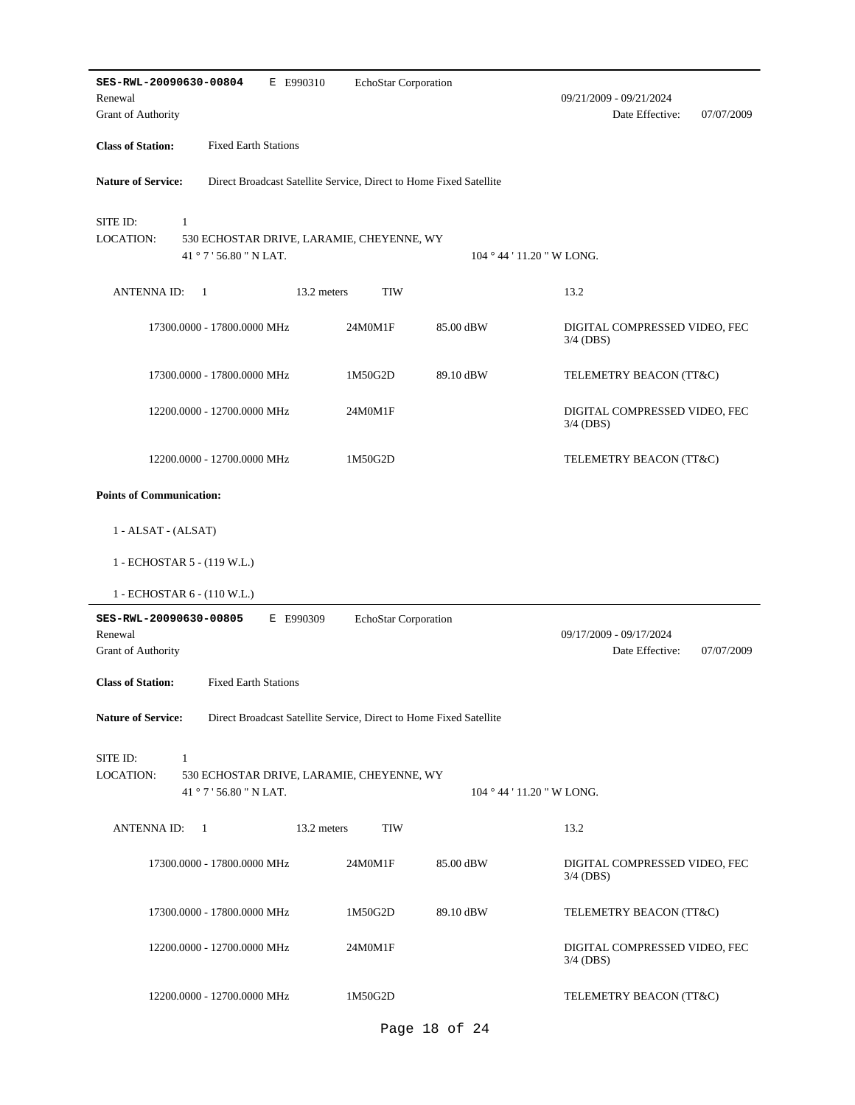| SES-RWL-20090630-00804<br>E E990310<br>Renewal<br>Grant of Authority                                                 | EchoStar Corporation                           | 09/21/2009 - 09/21/2024<br>Date Effective:<br>07/07/2009 |
|----------------------------------------------------------------------------------------------------------------------|------------------------------------------------|----------------------------------------------------------|
| <b>Class of Station:</b><br><b>Fixed Earth Stations</b>                                                              |                                                |                                                          |
| <b>Nature of Service:</b><br>Direct Broadcast Satellite Service, Direct to Home Fixed Satellite                      |                                                |                                                          |
| SITE ID:<br>$\mathbf{1}$<br><b>LOCATION:</b><br>530 ECHOSTAR DRIVE, LARAMIE, CHEYENNE, WY<br>41 ° 7 ' 56.80 " N LAT. | $104 \degree 44 \degree 11.20 \degree W$ LONG. |                                                          |
| <b>ANTENNAID:</b><br>13.2 meters<br>1                                                                                | <b>TIW</b>                                     | 13.2                                                     |
| 17300.0000 - 17800.0000 MHz<br>24M0M1F                                                                               | 85.00 dBW                                      | DIGITAL COMPRESSED VIDEO, FEC<br>$3/4$ (DBS)             |
| 17300.0000 - 17800.0000 MHz<br>1M50G2D                                                                               | 89.10 dBW                                      | TELEMETRY BEACON (TT&C)                                  |
| 12200.0000 - 12700.0000 MHz<br>24M0M1F                                                                               |                                                | DIGITAL COMPRESSED VIDEO, FEC<br>$3/4$ (DBS)             |
| 12200.0000 - 12700.0000 MHz<br>1M50G2D                                                                               |                                                | TELEMETRY BEACON (TT&C)                                  |
| <b>Points of Communication:</b>                                                                                      |                                                |                                                          |
| 1 - ALSAT - (ALSAT)                                                                                                  |                                                |                                                          |
| 1 - ECHOSTAR 5 - (119 W.L.)                                                                                          |                                                |                                                          |
| 1 - ECHOSTAR 6 - (110 W.L.)                                                                                          |                                                |                                                          |
| SES-RWL-20090630-00805<br>E E990309<br>Renewal<br>Grant of Authority                                                 | EchoStar Corporation                           | 09/17/2009 - 09/17/2024<br>Date Effective:<br>07/07/2009 |
| <b>Class of Station:</b><br><b>Fixed Earth Stations</b>                                                              |                                                |                                                          |
| <b>Nature of Service:</b><br>Direct Broadcast Satellite Service, Direct to Home Fixed Satellite                      |                                                |                                                          |
| SITE ID:<br>$\mathbf{1}$<br>LOCATION:<br>530 ECHOSTAR DRIVE, LARAMIE, CHEYENNE, WY<br>41 ° 7 ' 56.80 " N LAT.        | $104°44'11.20''$ W LONG.                       |                                                          |
| 13.2 meters<br>ANTENNA ID:<br>$\overline{1}$                                                                         | <b>TIW</b>                                     | 13.2                                                     |
| 17300.0000 - 17800.0000 MHz<br>24M0M1F                                                                               | 85.00 dBW                                      | DIGITAL COMPRESSED VIDEO, FEC<br>$3/4$ (DBS)             |
| 17300.0000 - 17800.0000 MHz<br>1M50G2D                                                                               | 89.10 dBW                                      | TELEMETRY BEACON (TT&C)                                  |
| 12200.0000 - 12700.0000 MHz<br>24M0M1F                                                                               |                                                | DIGITAL COMPRESSED VIDEO, FEC<br>$3/4$ (DBS)             |
| 12200.0000 - 12700.0000 MHz<br>1M50G2D                                                                               |                                                | TELEMETRY BEACON (TT&C)                                  |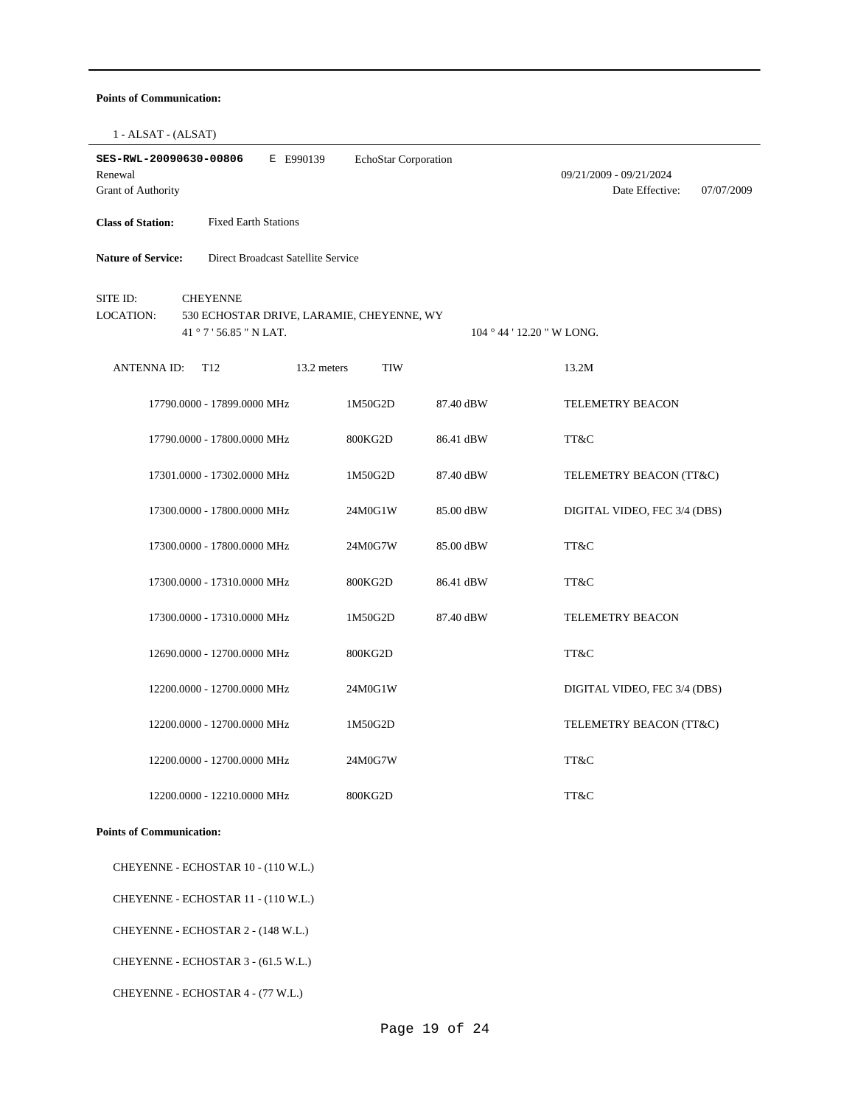#### **Points of Communication:**

1 - ALSAT - (ALSAT)

| SES-RWL-20090630-00806<br>Renewal<br><b>Grant of Authority</b> |                                                                                         | E E990139   | EchoStar Corporation |                            | 09/21/2009 - 09/21/2024<br>Date Effective:<br>07/07/2009 |
|----------------------------------------------------------------|-----------------------------------------------------------------------------------------|-------------|----------------------|----------------------------|----------------------------------------------------------|
| <b>Class of Station:</b>                                       | <b>Fixed Earth Stations</b>                                                             |             |                      |                            |                                                          |
| <b>Nature of Service:</b>                                      | Direct Broadcast Satellite Service                                                      |             |                      |                            |                                                          |
| SITE ID:<br><b>LOCATION:</b>                                   | <b>CHEYENNE</b><br>530 ECHOSTAR DRIVE, LARAMIE, CHEYENNE, WY<br>41 ° 7 ' 56.85 " N LAT. |             |                      | 104 ° 44 ' 12.20 " W LONG. |                                                          |
| <b>ANTENNAID:</b>                                              | T <sub>12</sub>                                                                         | 13.2 meters | <b>TIW</b>           |                            | 13.2M                                                    |
|                                                                | 17790.0000 - 17899.0000 MHz                                                             |             | 1M50G2D              | 87.40 dBW                  | <b>TELEMETRY BEACON</b>                                  |
|                                                                | 17790.0000 - 17800.0000 MHz                                                             |             | 800KG2D              | 86.41 dBW                  | TT&C                                                     |
|                                                                | 17301.0000 - 17302.0000 MHz                                                             |             | 1M50G2D              | 87.40 dBW                  | TELEMETRY BEACON (TT&C)                                  |
|                                                                | 17300.0000 - 17800.0000 MHz                                                             |             | 24M0G1W              | 85.00 dBW                  | DIGITAL VIDEO, FEC 3/4 (DBS)                             |
|                                                                | 17300.0000 - 17800.0000 MHz                                                             |             | 24M0G7W              | 85.00 dBW                  | TT&C                                                     |
|                                                                | 17300.0000 - 17310.0000 MHz                                                             |             | 800KG2D              | 86.41 dBW                  | TT&C                                                     |
|                                                                | 17300.0000 - 17310.0000 MHz                                                             |             | 1M50G2D              | 87.40 dBW                  | TELEMETRY BEACON                                         |
|                                                                | 12690.0000 - 12700.0000 MHz                                                             |             | 800KG2D              |                            | TT&C                                                     |
|                                                                | 12200.0000 - 12700.0000 MHz                                                             |             | 24M0G1W              |                            | DIGITAL VIDEO, FEC 3/4 (DBS)                             |
|                                                                | 12200.0000 - 12700.0000 MHz                                                             |             | 1M50G2D              |                            | TELEMETRY BEACON (TT&C)                                  |
|                                                                | 12200.0000 - 12700.0000 MHz                                                             |             | 24M0G7W              |                            | TT&C                                                     |
|                                                                | 12200.0000 - 12210.0000 MHz                                                             |             | 800KG2D              |                            | TT&C                                                     |

#### **Points of Communication:**

CHEYENNE - ECHOSTAR 10 - (110 W.L.)

CHEYENNE - ECHOSTAR 11 - (110 W.L.)

CHEYENNE - ECHOSTAR 2 - (148 W.L.)

CHEYENNE - ECHOSTAR 3 - (61.5 W.L.)

CHEYENNE - ECHOSTAR 4 - (77 W.L.)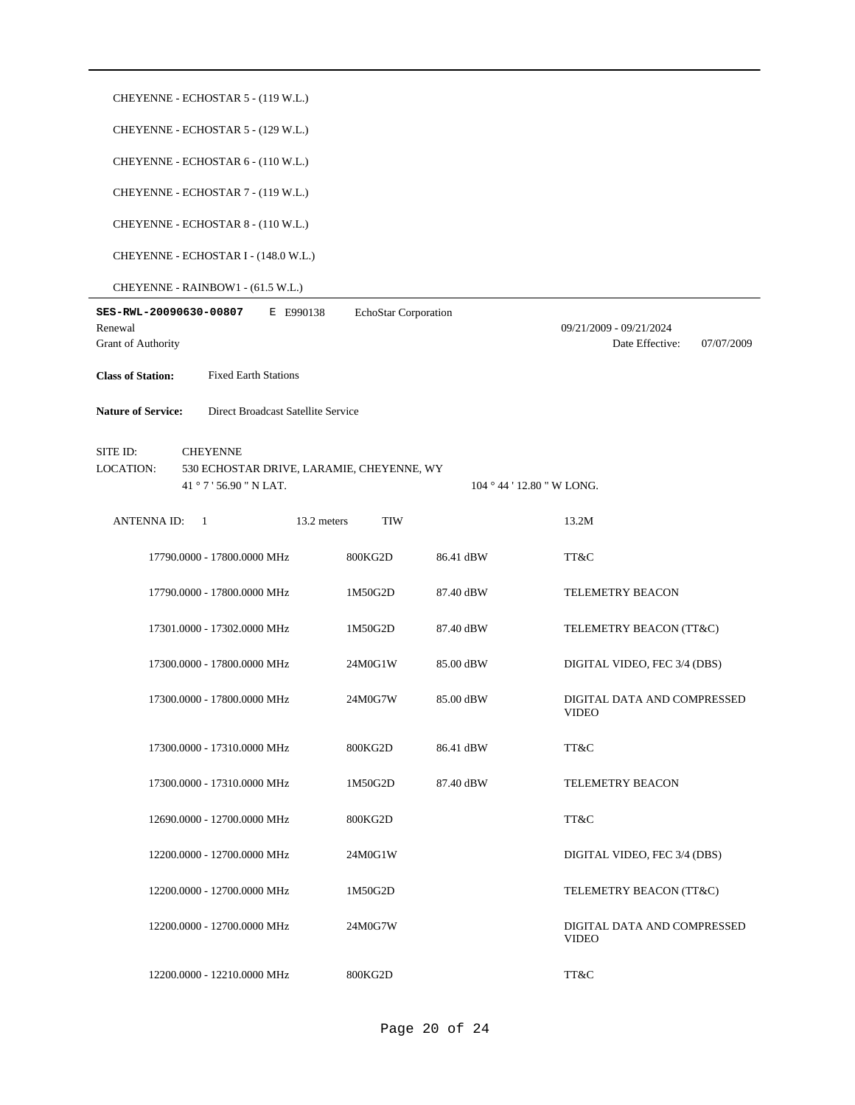|                                                         | CHEYENNE - ECHOSTAR 5 - (119 W.L.)                                                      |                      |           |                                                          |  |  |  |  |  |
|---------------------------------------------------------|-----------------------------------------------------------------------------------------|----------------------|-----------|----------------------------------------------------------|--|--|--|--|--|
|                                                         | CHEYENNE - ECHOSTAR 5 - (129 W.L.)                                                      |                      |           |                                                          |  |  |  |  |  |
| CHEYENNE - ECHOSTAR 6 - (110 W.L.)                      |                                                                                         |                      |           |                                                          |  |  |  |  |  |
|                                                         | CHEYENNE - ECHOSTAR 7 - (119 W.L.)                                                      |                      |           |                                                          |  |  |  |  |  |
|                                                         | CHEYENNE - ECHOSTAR 8 - (110 W.L.)                                                      |                      |           |                                                          |  |  |  |  |  |
|                                                         | CHEYENNE - ECHOSTAR I - (148.0 W.L.)                                                    |                      |           |                                                          |  |  |  |  |  |
|                                                         | CHEYENNE - RAINBOW1 - (61.5 W.L.)                                                       |                      |           |                                                          |  |  |  |  |  |
| SES-RWL-20090630-00807<br>Renewal<br>Grant of Authority | E E990138                                                                               | EchoStar Corporation |           | 09/21/2009 - 09/21/2024<br>Date Effective:<br>07/07/2009 |  |  |  |  |  |
| <b>Class of Station:</b>                                | <b>Fixed Earth Stations</b>                                                             |                      |           |                                                          |  |  |  |  |  |
| <b>Nature of Service:</b>                               | Direct Broadcast Satellite Service                                                      |                      |           |                                                          |  |  |  |  |  |
| SITE ID:<br><b>LOCATION:</b>                            | <b>CHEYENNE</b><br>530 ECHOSTAR DRIVE, LARAMIE, CHEYENNE, WY<br>41 ° 7 ' 56.90 " N LAT. |                      |           | $104 \degree 44 \degree 12.80 \degree W$ LONG.           |  |  |  |  |  |
| <b>ANTENNA ID:</b>                                      | 13.2 meters<br>-1                                                                       | <b>TIW</b>           |           | 13.2M                                                    |  |  |  |  |  |
|                                                         | 17790.0000 - 17800.0000 MHz                                                             | 800KG2D              | 86.41 dBW | TT&C                                                     |  |  |  |  |  |
|                                                         | 17790.0000 - 17800.0000 MHz                                                             | 1M50G2D              | 87.40 dBW | <b>TELEMETRY BEACON</b>                                  |  |  |  |  |  |
|                                                         | 17301.0000 - 17302.0000 MHz                                                             | 1M50G2D              | 87.40 dBW | TELEMETRY BEACON (TT&C)                                  |  |  |  |  |  |
|                                                         | 17300.0000 - 17800.0000 MHz                                                             | 24M0G1W              | 85.00 dBW | DIGITAL VIDEO, FEC 3/4 (DBS)                             |  |  |  |  |  |
|                                                         | 17300.0000 - 17800.0000 MHz                                                             | 24M0G7W              | 85.00 dBW | DIGITAL DATA AND COMPRESSED<br><b>VIDEO</b>              |  |  |  |  |  |
|                                                         | 17300.0000 - 17310.0000 MHz                                                             | 800KG2D              | 86.41 dBW | TT&C                                                     |  |  |  |  |  |
|                                                         | 17300.0000 - 17310.0000 MHz                                                             | 1M50G2D              | 87.40 dBW | <b>TELEMETRY BEACON</b>                                  |  |  |  |  |  |
|                                                         | 12690.0000 - 12700.0000 MHz                                                             | 800KG2D              |           | TT&C                                                     |  |  |  |  |  |
|                                                         | 12200.0000 - 12700.0000 MHz                                                             | 24M0G1W              |           | DIGITAL VIDEO, FEC 3/4 (DBS)                             |  |  |  |  |  |
|                                                         | 12200.0000 - 12700.0000 MHz                                                             | 1M50G2D              |           | TELEMETRY BEACON (TT&C)                                  |  |  |  |  |  |
|                                                         | 12200.0000 - 12700.0000 MHz                                                             | 24M0G7W              |           | DIGITAL DATA AND COMPRESSED<br><b>VIDEO</b>              |  |  |  |  |  |
|                                                         | 12200.0000 - 12210.0000 MHz                                                             | 800KG2D              |           | TT&C                                                     |  |  |  |  |  |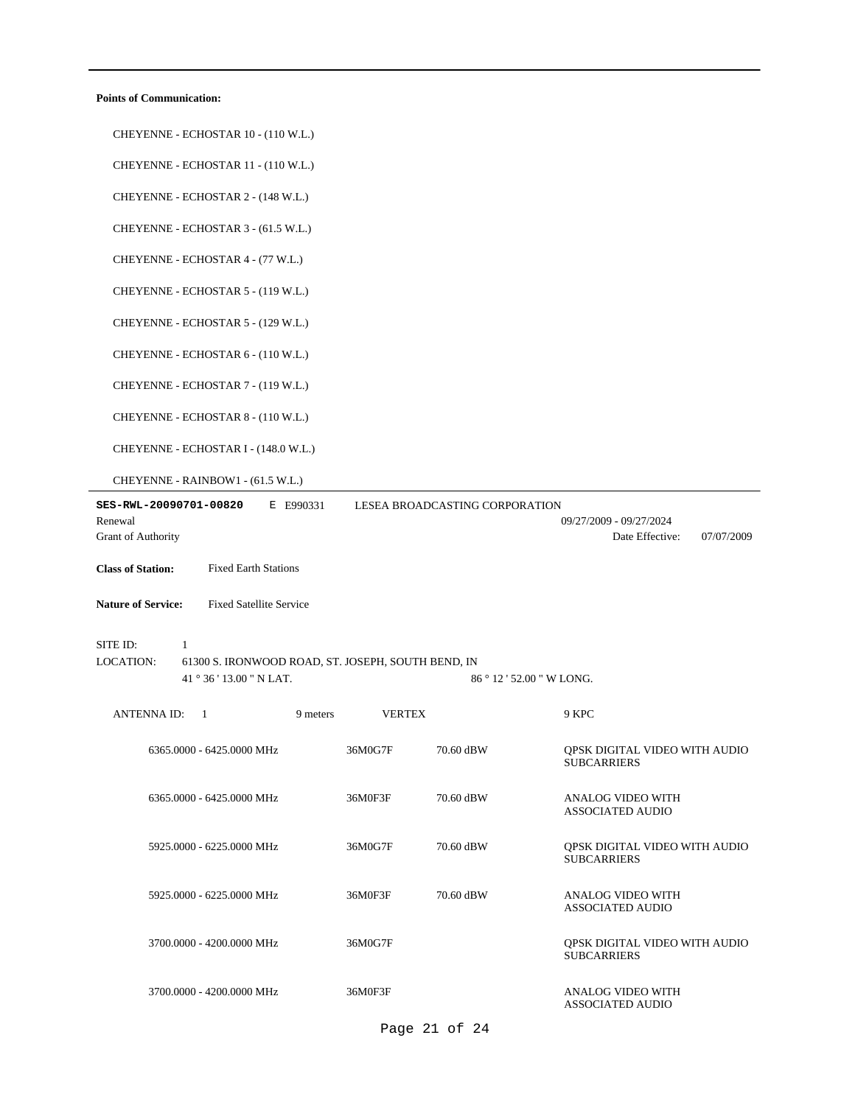### **Points of Communication:**

| CHEYENNE - ECHOSTAR 10 - (110 W.L.)                                              |               |                                |                                                          |
|----------------------------------------------------------------------------------|---------------|--------------------------------|----------------------------------------------------------|
| CHEYENNE - ECHOSTAR 11 - (110 W.L.)                                              |               |                                |                                                          |
| CHEYENNE - ECHOSTAR 2 - (148 W.L.)                                               |               |                                |                                                          |
| CHEYENNE - ECHOSTAR 3 - (61.5 W.L.)                                              |               |                                |                                                          |
| CHEYENNE - ECHOSTAR 4 - (77 W.L.)                                                |               |                                |                                                          |
| CHEYENNE - ECHOSTAR 5 - (119 W.L.)                                               |               |                                |                                                          |
| CHEYENNE - ECHOSTAR 5 - (129 W.L.)                                               |               |                                |                                                          |
| CHEYENNE - ECHOSTAR 6 - (110 W.L.)                                               |               |                                |                                                          |
|                                                                                  |               |                                |                                                          |
| CHEYENNE - ECHOSTAR 7 - (119 W.L.)                                               |               |                                |                                                          |
| CHEYENNE - ECHOSTAR 8 - (110 W.L.)                                               |               |                                |                                                          |
| CHEYENNE - ECHOSTAR I - (148.0 W.L.)                                             |               |                                |                                                          |
| CHEYENNE - RAINBOW1 - (61.5 W.L.)                                                |               |                                |                                                          |
| SES-RWL-20090701-00820<br>E E990331<br>Renewal<br>Grant of Authority             |               | LESEA BROADCASTING CORPORATION | 09/27/2009 - 09/27/2024<br>Date Effective:<br>07/07/2009 |
| <b>Class of Station:</b><br><b>Fixed Earth Stations</b>                          |               |                                |                                                          |
| <b>Nature of Service:</b>                                                        |               |                                |                                                          |
| <b>Fixed Satellite Service</b>                                                   |               |                                |                                                          |
| SITE ID:<br>1<br>LOCATION:<br>61300 S. IRONWOOD ROAD, ST. JOSEPH, SOUTH BEND, IN |               |                                |                                                          |
| 41 ° 36 ' 13.00 " N LAT.                                                         |               | 86 ° 12 ' 52.00 " W LONG.      |                                                          |
| <b>ANTENNA ID:</b><br>-1<br>9 meters                                             | <b>VERTEX</b> |                                | 9 KPC                                                    |
| 6365.0000 - 6425.0000 MHz                                                        | 36M0G7F       | 70.60 dBW                      | QPSK DIGITAL VIDEO WITH AUDIO<br><b>SUBCARRIERS</b>      |
| 6365.0000 - 6425.0000 MHz                                                        | 36M0F3F       | 70.60 dBW                      | ANALOG VIDEO WITH<br>ASSOCIATED AUDIO                    |
| 5925.0000 - 6225.0000 MHz                                                        | 36M0G7F       | 70.60 dBW                      | QPSK DIGITAL VIDEO WITH AUDIO<br><b>SUBCARRIERS</b>      |
| 5925.0000 - 6225.0000 MHz                                                        | 36M0F3F       | 70.60 dBW                      | <b>ANALOG VIDEO WITH</b><br>ASSOCIATED AUDIO             |
| 3700.0000 - 4200.0000 MHz                                                        | 36M0G7F       |                                | QPSK DIGITAL VIDEO WITH AUDIO<br><b>SUBCARRIERS</b>      |
| 3700.0000 - 4200.0000 MHz                                                        | 36M0F3F       |                                | ANALOG VIDEO WITH                                        |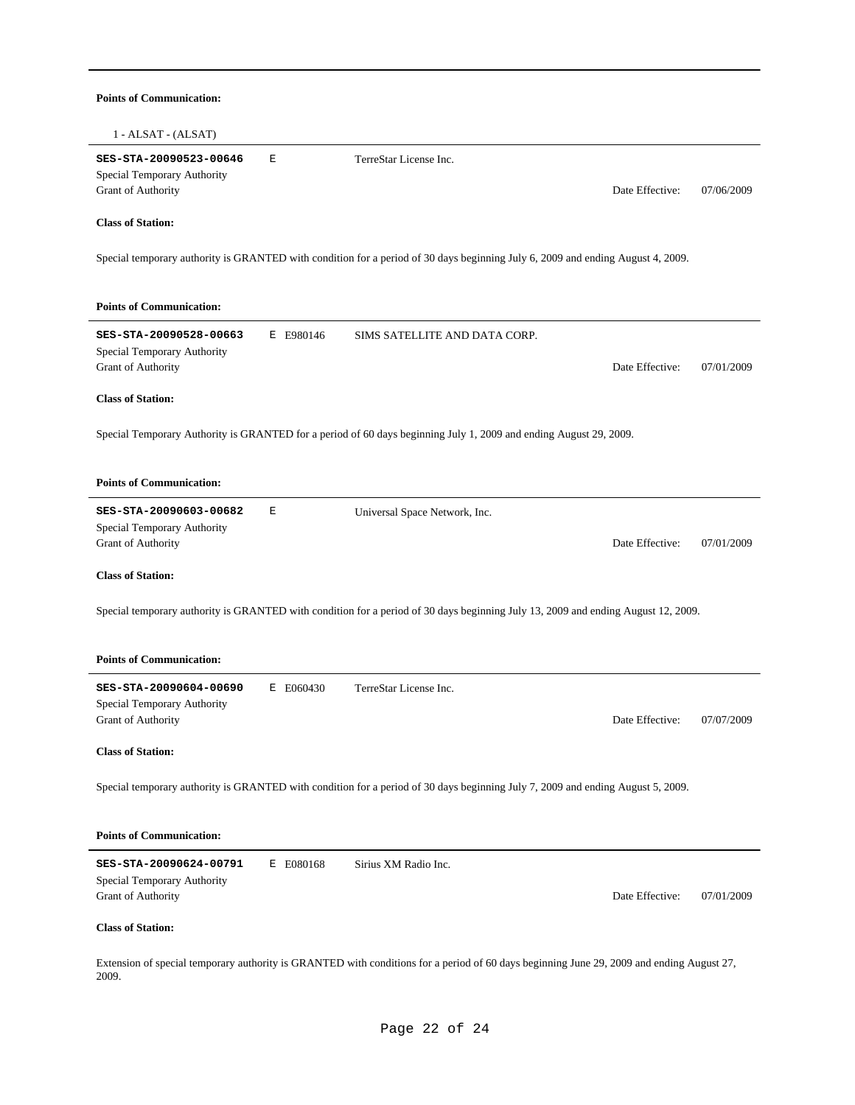| <b>Points of Communication:</b>                                                          |                                                                                                                                           |            |
|------------------------------------------------------------------------------------------|-------------------------------------------------------------------------------------------------------------------------------------------|------------|
| $1 - ALSAT - (ALSAT)$                                                                    |                                                                                                                                           |            |
| SES-STA-20090523-00646<br>E<br>Special Temporary Authority<br><b>Grant of Authority</b>  | TerreStar License Inc.<br>Date Effective:                                                                                                 | 07/06/2009 |
| <b>Class of Station:</b>                                                                 |                                                                                                                                           |            |
|                                                                                          | Special temporary authority is GRANTED with condition for a period of 30 days beginning July 6, 2009 and ending August 4, 2009.           |            |
| <b>Points of Communication:</b>                                                          |                                                                                                                                           |            |
| SES-STA-20090528-00663<br>E E980146<br>Special Temporary Authority<br>Grant of Authority | SIMS SATELLITE AND DATA CORP.<br>Date Effective:                                                                                          | 07/01/2009 |
| <b>Class of Station:</b>                                                                 |                                                                                                                                           |            |
|                                                                                          | Special Temporary Authority is GRANTED for a period of 60 days beginning July 1, 2009 and ending August 29, 2009.                         |            |
| <b>Points of Communication:</b>                                                          |                                                                                                                                           |            |
| SES-STA-20090603-00682<br>Е<br>Special Temporary Authority<br>Grant of Authority         | Universal Space Network, Inc.<br>Date Effective:                                                                                          | 07/01/2009 |
| <b>Class of Station:</b>                                                                 |                                                                                                                                           |            |
|                                                                                          | Special temporary authority is GRANTED with condition for a period of 30 days beginning July 13, 2009 and ending August 12, 2009.         |            |
| <b>Points of Communication:</b>                                                          |                                                                                                                                           |            |
| SES-STA-20090604-00690<br>E E060430                                                      | TerreStar License Inc.                                                                                                                    |            |
| Special Temporary Authority<br>Grant of Authority                                        | Date Effective:                                                                                                                           | 07/07/2009 |
| <b>Class of Station:</b>                                                                 |                                                                                                                                           |            |
|                                                                                          | Special temporary authority is GRANTED with condition for a period of 30 days beginning July 7, 2009 and ending August 5, 2009.           |            |
| <b>Points of Communication:</b>                                                          |                                                                                                                                           |            |
| SES-STA-20090624-00791<br>E E080168<br>Special Temporary Authority<br>Grant of Authority | Sirius XM Radio Inc.<br>Date Effective:                                                                                                   | 07/01/2009 |
|                                                                                          |                                                                                                                                           |            |
| <b>Class of Station:</b>                                                                 |                                                                                                                                           |            |
| 2009.                                                                                    | Extension of special temporary authority is GRANTED with conditions for a period of 60 days beginning June 29, 2009 and ending August 27, |            |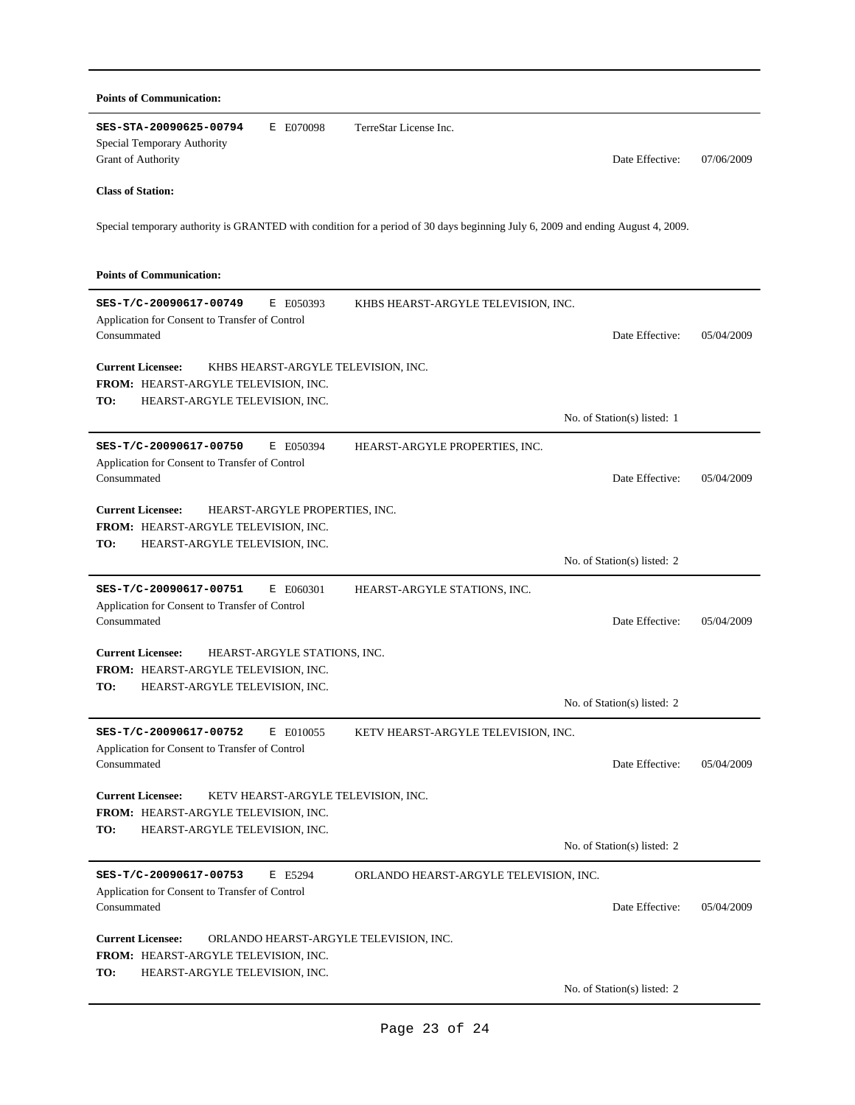| <b>Points of Communication:</b>                                                                                                                  |                                                           |            |  |  |
|--------------------------------------------------------------------------------------------------------------------------------------------------|-----------------------------------------------------------|------------|--|--|
| SES-STA-20090625-00794<br>E E070098<br>Special Temporary Authority<br>Grant of Authority                                                         | TerreStar License Inc.<br>Date Effective:                 | 07/06/2009 |  |  |
| <b>Class of Station:</b>                                                                                                                         |                                                           |            |  |  |
| Special temporary authority is GRANTED with condition for a period of 30 days beginning July 6, 2009 and ending August 4, 2009.                  |                                                           |            |  |  |
| <b>Points of Communication:</b>                                                                                                                  |                                                           |            |  |  |
| SES-T/C-20090617-00749<br>E E050393<br>Application for Consent to Transfer of Control<br>Consummated                                             | KHBS HEARST-ARGYLE TELEVISION, INC.<br>Date Effective:    | 05/04/2009 |  |  |
| <b>Current Licensee:</b><br>KHBS HEARST-ARGYLE TELEVISION, INC.                                                                                  |                                                           |            |  |  |
| FROM: HEARST-ARGYLE TELEVISION, INC.<br>HEARST-ARGYLE TELEVISION, INC.<br>TO:                                                                    |                                                           |            |  |  |
|                                                                                                                                                  | No. of Station(s) listed: 1                               |            |  |  |
| SES-T/C-20090617-00750<br>E E050394<br>Application for Consent to Transfer of Control<br>Consummated                                             | HEARST-ARGYLE PROPERTIES, INC.<br>Date Effective:         | 05/04/2009 |  |  |
| <b>Current Licensee:</b><br>HEARST-ARGYLE PROPERTIES, INC.<br>FROM: HEARST-ARGYLE TELEVISION, INC.<br>HEARST-ARGYLE TELEVISION, INC.<br>TO:      |                                                           |            |  |  |
|                                                                                                                                                  | No. of Station(s) listed: 2                               |            |  |  |
| SES-T/C-20090617-00751<br>E E060301<br>Application for Consent to Transfer of Control<br>Consummated                                             | HEARST-ARGYLE STATIONS, INC.<br>Date Effective:           | 05/04/2009 |  |  |
| <b>Current Licensee:</b><br>HEARST-ARGYLE STATIONS, INC.<br>FROM: HEARST-ARGYLE TELEVISION, INC.<br>TO:<br>HEARST-ARGYLE TELEVISION, INC.        |                                                           |            |  |  |
|                                                                                                                                                  | No. of Station(s) listed: 2                               |            |  |  |
| SES-T/C-20090617-00752<br>E E010055<br>Application for Consent to Transfer of Control                                                            | KETV HEARST-ARGYLE TELEVISION, INC.                       |            |  |  |
| Consummated                                                                                                                                      | Date Effective:                                           | 05/04/2009 |  |  |
| <b>Current Licensee:</b><br>KETV HEARST-ARGYLE TELEVISION, INC.<br>FROM: HEARST-ARGYLE TELEVISION, INC.<br>TO:<br>HEARST-ARGYLE TELEVISION, INC. |                                                           |            |  |  |
|                                                                                                                                                  | No. of Station(s) listed: 2                               |            |  |  |
| SES-T/C-20090617-00753<br>E E5294<br>Application for Consent to Transfer of Control<br>Consummated                                               | ORLANDO HEARST-ARGYLE TELEVISION, INC.<br>Date Effective: | 05/04/2009 |  |  |
| <b>Current Licensee:</b><br>ORLANDO HEARST-ARGYLE TELEVISION, INC.<br>FROM: HEARST-ARGYLE TELEVISION, INC.                                       |                                                           |            |  |  |
| TO:<br>HEARST-ARGYLE TELEVISION, INC.                                                                                                            | No. of Station(s) listed: 2                               |            |  |  |